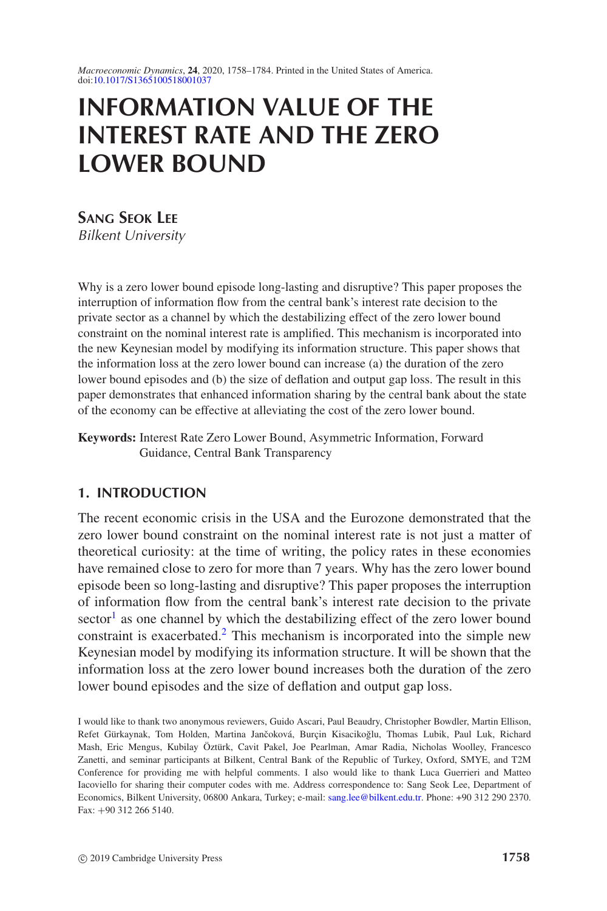*Macroeconomic Dynamics*, **24**, 2020, 1758–1784. Printed in the United States of America. doi[:10.1017/S1365100518001037](https://doi.org/10.1017/S1365100518001037)

# **INFORMATION VALUE OF THE INTEREST RATE AND THE ZERO LOWER BOUND**

**SANG SEOK LEE** *Bilkent University*

Why is a zero lower bound episode long-lasting and disruptive? This paper proposes the interruption of information flow from the central bank's interest rate decision to the private sector as a channel by which the destabilizing effect of the zero lower bound constraint on the nominal interest rate is amplified. This mechanism is incorporated into the new Keynesian model by modifying its information structure. This paper shows that the information loss at the zero lower bound can increase (a) the duration of the zero lower bound episodes and (b) the size of deflation and output gap loss. The result in this paper demonstrates that enhanced information sharing by the central bank about the state of the economy can be effective at alleviating the cost of the zero lower bound.

**Keywords:** Interest Rate Zero Lower Bound, Asymmetric Information, Forward Guidance, Central Bank Transparency

# **1. INTRODUCTION**

The recent economic crisis in the USA and the Eurozone demonstrated that the zero lower bound constraint on the nominal interest rate is not just a matter of theoretical curiosity: at the time of writing, the policy rates in these economies have remained close to zero for more than 7 years. Why has the zero lower bound episode been so long-lasting and disruptive? This paper proposes the interruption of information flow from the central bank's interest rate decision to the private  $\text{sector}^1$  $\text{sector}^1$  as one channel by which the destabilizing effect of the zero lower bound constraint is exacerbated.<sup>[2](#page-22-1)</sup> This mechanism is incorporated into the simple new Keynesian model by modifying its information structure. It will be shown that the information loss at the zero lower bound increases both the duration of the zero lower bound episodes and the size of deflation and output gap loss.

I would like to thank two anonymous reviewers, Guido Ascari, Paul Beaudry, Christopher Bowdler, Martin Ellison, Refet Gürkaynak, Tom Holden, Martina Jančoková, Burçin Kisacikoğlu, Thomas Lubik, Paul Luk, Richard Mash, Eric Mengus, Kubilay Öztürk, Cavit Pakel, Joe Pearlman, Amar Radia, Nicholas Woolley, Francesco Zanetti, and seminar participants at Bilkent, Central Bank of the Republic of Turkey, Oxford, SMYE, and T2M Conference for providing me with helpful comments. I also would like to thank Luca Guerrieri and Matteo Iacoviello for sharing their computer codes with me. Address correspondence to: Sang Seok Lee, Department of Economics, Bilkent University, 06800 Ankara, Turkey; e-mail: [sang.lee@bilkent.edu.tr.](mailto:sang.lee@bilkent.edu.tr) Phone: +90 312 290 2370. Fax: +90 312 266 5140.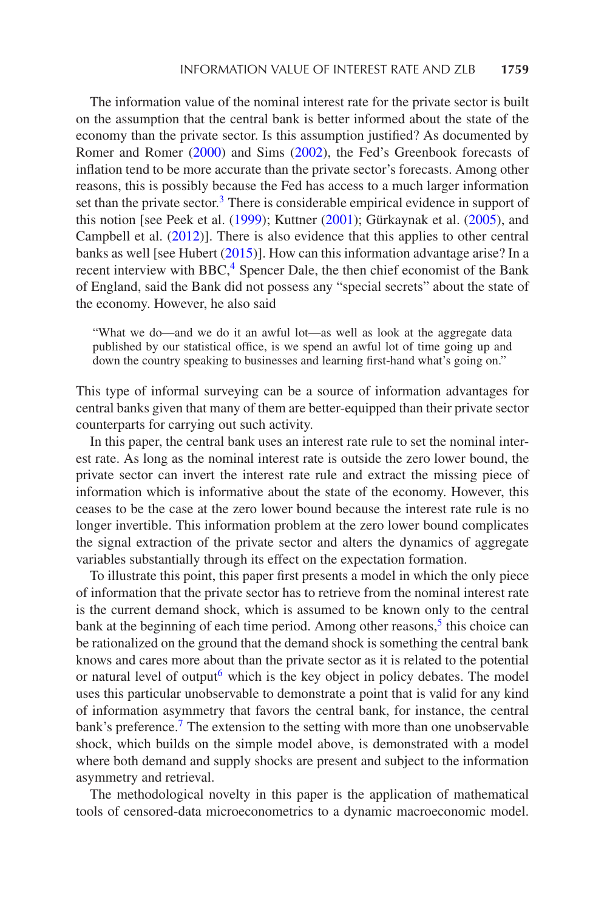The information value of the nominal interest rate for the private sector is built on the assumption that the central bank is better informed about the state of the economy than the private sector. Is this assumption justified? As documented by Romer and Romer [\(2000](#page-25-0)) and Sims [\(2002\)](#page-26-0), the Fed's Greenbook forecasts of inflation tend to be more accurate than the private sector's forecasts. Among other reasons, this is possibly because the Fed has access to a much larger information set than the private sector.<sup>[3](#page-22-2)</sup> There is considerable empirical evidence in support of this notion [see Peek et al. [\(1999](#page-25-1)); Kuttner [\(2001\)](#page-25-2); Gürkaynak et al. [\(2005](#page-25-3)), and Campbell et al. [\(2012](#page-24-0))]. There is also evidence that this applies to other central banks as well [see Hubert [\(2015](#page-25-4))]. How can this information advantage arise? In a recent interview with BBC,<sup>4</sup> Spencer Dale, the then chief economist of the Bank of England, said the Bank did not possess any "special secrets" about the state of the economy. However, he also said

"What we do—and we do it an awful lot—as well as look at the aggregate data published by our statistical office, is we spend an awful lot of time going up and down the country speaking to businesses and learning first-hand what's going on."

This type of informal surveying can be a source of information advantages for central banks given that many of them are better-equipped than their private sector counterparts for carrying out such activity.

In this paper, the central bank uses an interest rate rule to set the nominal interest rate. As long as the nominal interest rate is outside the zero lower bound, the private sector can invert the interest rate rule and extract the missing piece of information which is informative about the state of the economy. However, this ceases to be the case at the zero lower bound because the interest rate rule is no longer invertible. This information problem at the zero lower bound complicates the signal extraction of the private sector and alters the dynamics of aggregate variables substantially through its effect on the expectation formation.

To illustrate this point, this paper first presents a model in which the only piece of information that the private sector has to retrieve from the nominal interest rate is the current demand shock, which is assumed to be known only to the central bank at the beginning of each time period. Among other reasons, $\delta$  this choice can be rationalized on the ground that the demand shock is something the central bank knows and cares more about than the private sector as it is related to the potential or natural level of output<sup>6</sup> which is the key object in policy debates. The model uses this particular unobservable to demonstrate a point that is valid for any kind of information asymmetry that favors the central bank, for instance, the central bank's preference.<sup>[7](#page-22-6)</sup> The extension to the setting with more than one unobservable shock, which builds on the simple model above, is demonstrated with a model where both demand and supply shocks are present and subject to the information asymmetry and retrieval.

The methodological novelty in this paper is the application of mathematical tools of censored-data microeconometrics to a dynamic macroeconomic model.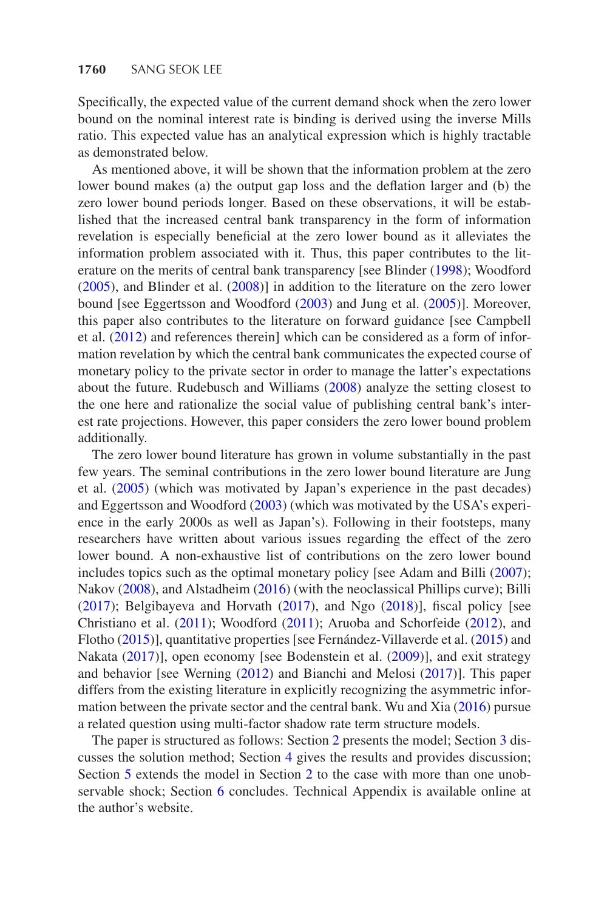Specifically, the expected value of the current demand shock when the zero lower bound on the nominal interest rate is binding is derived using the inverse Mills ratio. This expected value has an analytical expression which is highly tractable as demonstrated below.

As mentioned above, it will be shown that the information problem at the zero lower bound makes (a) the output gap loss and the deflation larger and (b) the zero lower bound periods longer. Based on these observations, it will be established that the increased central bank transparency in the form of information revelation is especially beneficial at the zero lower bound as it alleviates the information problem associated with it. Thus, this paper contributes to the literature on the merits of central bank transparency [see Blinder [\(1998](#page-24-1)); Woodford [\(2005\)](#page-26-1), and Blinder et al. [\(2008\)](#page-24-2)] in addition to the literature on the zero lower bound [see Eggertsson and Woodford [\(2003](#page-25-5)) and Jung et al. [\(2005\)](#page-25-6)]. Moreover, this paper also contributes to the literature on forward guidance [see Campbell et al. [\(2012](#page-24-0)) and references therein] which can be considered as a form of information revelation by which the central bank communicates the expected course of monetary policy to the private sector in order to manage the latter's expectations about the future. Rudebusch and Williams [\(2008\)](#page-26-2) analyze the setting closest to the one here and rationalize the social value of publishing central bank's interest rate projections. However, this paper considers the zero lower bound problem additionally.

The zero lower bound literature has grown in volume substantially in the past few years. The seminal contributions in the zero lower bound literature are Jung et al. [\(2005\)](#page-25-6) (which was motivated by Japan's experience in the past decades) and Eggertsson and Woodford [\(2003\)](#page-25-5) (which was motivated by the USA's experience in the early 2000s as well as Japan's). Following in their footsteps, many researchers have written about various issues regarding the effect of the zero lower bound. A non-exhaustive list of contributions on the zero lower bound includes topics such as the optimal monetary policy [see Adam and Billi [\(2007\)](#page-24-3); Nakov [\(2008](#page-25-7)), and Alstadheim [\(2016](#page-24-4)) (with the neoclassical Phillips curve); Billi [\(2017\)](#page-24-5); Belgibayeva and Horvath [\(2017](#page-24-6)), and Ngo [\(2018](#page-25-8))], fiscal policy [see Christiano et al. [\(2011](#page-24-7)); Woodford [\(2011\)](#page-26-3); Aruoba and Schorfeide [\(2012](#page-24-8)), and Flotho [\(2015\)](#page-25-9)], quantitative properties [see Fernández-Villaverde et al. [\(2015](#page-25-10)) and Nakata [\(2017](#page-25-11))], open economy [see Bodenstein et al. [\(2009\)](#page-24-9)], and exit strategy and behavior [see Werning [\(2012](#page-26-4)) and Bianchi and Melosi [\(2017](#page-24-10))]. This paper differs from the existing literature in explicitly recognizing the asymmetric information between the private sector and the central bank. Wu and Xia [\(2016](#page-26-5)) pursue a related question using multi-factor shadow rate term structure models.

The paper is structured as follows: Section [2](#page-3-0) presents the model; Section [3](#page-8-0) discusses the solution method; Section [4](#page-9-0) gives the results and provides discussion; Section [5](#page-14-0) extends the model in Section [2](#page-3-0) to the case with more than one unobservable shock; Section [6](#page-21-0) concludes. Technical Appendix is available online at the author's website.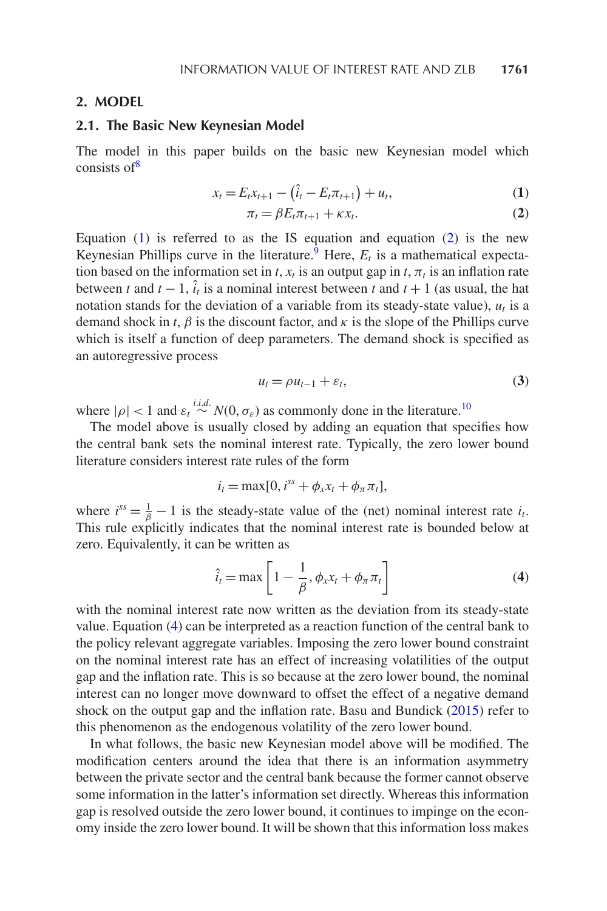## <span id="page-3-5"></span><span id="page-3-0"></span>**2. MODEL**

#### **2.1. The Basic New Keynesian Model**

The model in this paper builds on the basic new Keynesian model which consists of<sup>[8](#page-22-7)</sup>

$$
x_t = E_t x_{t+1} - (\hat{i}_t - E_t \pi_{t+1}) + u_t, \tag{1}
$$

<span id="page-3-2"></span><span id="page-3-1"></span>
$$
\pi_t = \beta E_t \pi_{t+1} + \kappa x_t. \tag{2}
$$

Equation  $(1)$  is referred to as the IS equation and equation  $(2)$  is the new Keynesian Phillips curve in the literature.<sup>[9](#page-22-8)</sup> Here,  $E_t$  is a mathematical expectation based on the information set in *t*,  $x_t$  is an output gap in *t*,  $\pi_t$  is an inflation rate between *t* and  $t - 1$ ,  $\hat{i}_t$  is a nominal interest between *t* and  $t + 1$  (as usual, the hat notation stands for the deviation of a variable from its steady-state value),  $u_t$  is a demand shock in *t*,  $\beta$  is the discount factor, and  $\kappa$  is the slope of the Phillips curve which is itself a function of deep parameters. The demand shock is specified as an autoregressive process

<span id="page-3-4"></span>
$$
u_t = \rho u_{t-1} + \varepsilon_t, \tag{3}
$$

where  $|\rho| < 1$  and  $\varepsilon_t \stackrel{i.i.d.}{\sim} N(0, \sigma_{\varepsilon})$  as commonly done in the literature.<sup>10</sup>

The model above is usually closed by adding an equation that specifies how the central bank sets the nominal interest rate. Typically, the zero lower bound literature considers interest rate rules of the form

$$
i_t = \max[0, i^{ss} + \phi_x x_t + \phi_\pi \pi_t],
$$

where  $i^{ss} = \frac{1}{\beta} - 1$  is the steady-state value of the (net) nominal interest rate  $i_t$ . This rule explicitly indicates that the nominal interest rate is bounded below at zero. Equivalently, it can be written as

<span id="page-3-3"></span>
$$
\hat{i}_t = \max\left[1 - \frac{1}{\beta}, \phi_x x_t + \phi_\pi \pi_t\right]
$$
 (4)

with the nominal interest rate now written as the deviation from its steady-state value. Equation [\(4\)](#page-3-3) can be interpreted as a reaction function of the central bank to the policy relevant aggregate variables. Imposing the zero lower bound constraint on the nominal interest rate has an effect of increasing volatilities of the output gap and the inflation rate. This is so because at the zero lower bound, the nominal interest can no longer move downward to offset the effect of a negative demand shock on the output gap and the inflation rate. Basu and Bundick [\(2015](#page-24-11)) refer to this phenomenon as the endogenous volatility of the zero lower bound.

In what follows, the basic new Keynesian model above will be modified. The modification centers around the idea that there is an information asymmetry between the private sector and the central bank because the former cannot observe some information in the latter's information set directly. Whereas this information gap is resolved outside the zero lower bound, it continues to impinge on the economy inside the zero lower bound. It will be shown that this information loss makes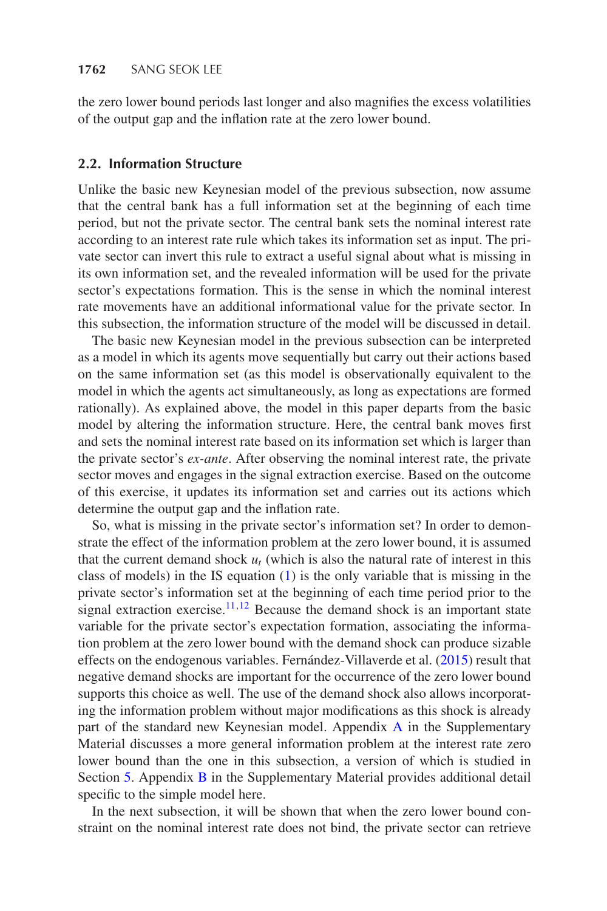the zero lower bound periods last longer and also magnifies the excess volatilities of the output gap and the inflation rate at the zero lower bound.

# <span id="page-4-0"></span>**2.2. Information Structure**

Unlike the basic new Keynesian model of the previous subsection, now assume that the central bank has a full information set at the beginning of each time period, but not the private sector. The central bank sets the nominal interest rate according to an interest rate rule which takes its information set as input. The private sector can invert this rule to extract a useful signal about what is missing in its own information set, and the revealed information will be used for the private sector's expectations formation. This is the sense in which the nominal interest rate movements have an additional informational value for the private sector. In this subsection, the information structure of the model will be discussed in detail.

The basic new Keynesian model in the previous subsection can be interpreted as a model in which its agents move sequentially but carry out their actions based on the same information set (as this model is observationally equivalent to the model in which the agents act simultaneously, as long as expectations are formed rationally). As explained above, the model in this paper departs from the basic model by altering the information structure. Here, the central bank moves first and sets the nominal interest rate based on its information set which is larger than the private sector's *ex-ante*. After observing the nominal interest rate, the private sector moves and engages in the signal extraction exercise. Based on the outcome of this exercise, it updates its information set and carries out its actions which determine the output gap and the inflation rate.

So, what is missing in the private sector's information set? In order to demonstrate the effect of the information problem at the zero lower bound, it is assumed that the current demand shock  $u_t$  (which is also the natural rate of interest in this class of models) in the IS equation  $(1)$  is the only variable that is missing in the private sector's information set at the beginning of each time period prior to the signal extraction exercise.<sup>[11](#page-22-10)[,12](#page-22-11)</sup> Because the demand shock is an important state variable for the private sector's expectation formation, associating the information problem at the zero lower bound with the demand shock can produce sizable effects on the endogenous variables. Fernández-Villaverde et al. [\(2015](#page-25-10)) result that negative demand shocks are important for the occurrence of the zero lower bound supports this choice as well. The use of the demand shock also allows incorporating the information problem without major modifications as this shock is already part of the standard new Keynesian model. Appendix [A](#page-22-12) in the Supplementary Material discusses a more general information problem at the interest rate zero lower bound than the one in this subsection, a version of which is studied in Section [5.](#page-14-0) Appendix [B](#page-22-12) in the Supplementary Material provides additional detail specific to the simple model here.

In the next subsection, it will be shown that when the zero lower bound constraint on the nominal interest rate does not bind, the private sector can retrieve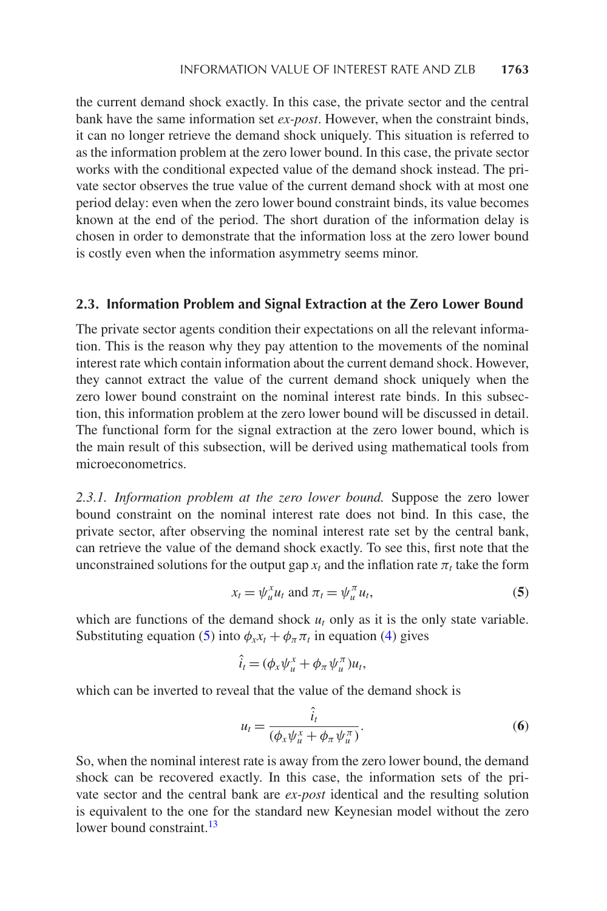the current demand shock exactly. In this case, the private sector and the central bank have the same information set *ex-post*. However, when the constraint binds, it can no longer retrieve the demand shock uniquely. This situation is referred to as the information problem at the zero lower bound. In this case, the private sector works with the conditional expected value of the demand shock instead. The private sector observes the true value of the current demand shock with at most one period delay: even when the zero lower bound constraint binds, its value becomes known at the end of the period. The short duration of the information delay is chosen in order to demonstrate that the information loss at the zero lower bound is costly even when the information asymmetry seems minor.

## **2.3. Information Problem and Signal Extraction at the Zero Lower Bound**

The private sector agents condition their expectations on all the relevant information. This is the reason why they pay attention to the movements of the nominal interest rate which contain information about the current demand shock. However, they cannot extract the value of the current demand shock uniquely when the zero lower bound constraint on the nominal interest rate binds. In this subsection, this information problem at the zero lower bound will be discussed in detail. The functional form for the signal extraction at the zero lower bound, which is the main result of this subsection, will be derived using mathematical tools from microeconometrics.

<span id="page-5-2"></span>*2.3.1. Information problem at the zero lower bound.* Suppose the zero lower bound constraint on the nominal interest rate does not bind. In this case, the private sector, after observing the nominal interest rate set by the central bank, can retrieve the value of the demand shock exactly. To see this, first note that the unconstrained solutions for the output gap  $x_t$  and the inflation rate  $\pi_t$  take the form

<span id="page-5-0"></span>
$$
x_t = \psi_u^x u_t \text{ and } \pi_t = \psi_u^{\pi} u_t,\tag{5}
$$

which are functions of the demand shock  $u_t$  only as it is the only state variable. Substituting equation [\(5\)](#page-5-0) into  $\phi_x x_t + \phi_\pi \pi_t$  in equation [\(4\)](#page-3-3) gives

$$
\hat{i}_t = (\phi_x \psi_u^x + \phi_\pi \psi_u^\pi) u_t,
$$

which can be inverted to reveal that the value of the demand shock is

<span id="page-5-1"></span>
$$
u_t = \frac{\hat{i}_t}{(\phi_x \psi_u^x + \phi_\pi \psi_u^\pi)}.
$$
 (6)

So, when the nominal interest rate is away from the zero lower bound, the demand shock can be recovered exactly. In this case, the information sets of the private sector and the central bank are *ex-post* identical and the resulting solution is equivalent to the one for the standard new Keynesian model without the zero lower bound constraint.<sup>[13](#page-23-0)</sup>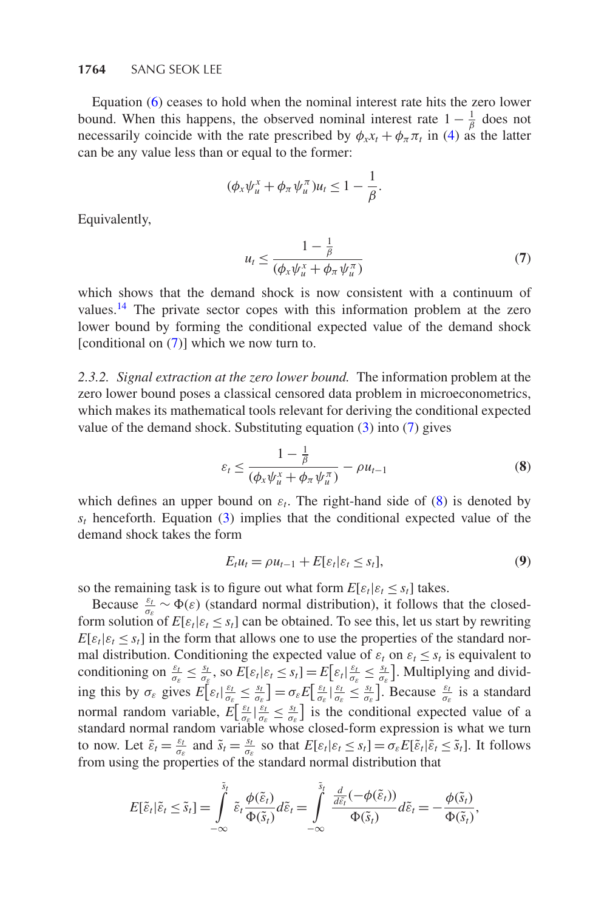#### **1764** SANG SEOK LEE

Equation [\(6\)](#page-5-1) ceases to hold when the nominal interest rate hits the zero lower bound. When this happens, the observed nominal interest rate  $1 - \frac{1}{\beta}$  does not necessarily coincide with the rate prescribed by  $\phi_{x}x_t + \phi_{\pi}\pi_t$  in [\(4\)](#page-3-3) as the latter can be any value less than or equal to the former:

$$
(\phi_x \psi_u^x + \phi_\pi \psi_u^\pi) u_t \leq 1 - \frac{1}{\beta}.
$$

Equivalently,

<span id="page-6-0"></span>
$$
u_t \le \frac{1 - \frac{1}{\beta}}{(\phi_x \psi_u^x + \phi_\pi \psi_u^{\pi})}
$$
(7)

which shows that the demand shock is now consistent with a continuum of values.<sup>[14](#page-23-1)</sup> The private sector copes with this information problem at the zero lower bound by forming the conditional expected value of the demand shock [conditional on [\(7\)](#page-6-0)] which we now turn to.

<span id="page-6-3"></span>*2.3.2. Signal extraction at the zero lower bound.* The information problem at the zero lower bound poses a classical censored data problem in microeconometrics, which makes its mathematical tools relevant for deriving the conditional expected value of the demand shock. Substituting equation  $(3)$  into  $(7)$  gives

<span id="page-6-1"></span>
$$
\varepsilon_t \le \frac{1 - \frac{1}{\beta}}{(\phi_x \psi_u^x + \phi_\pi \psi_u^{\pi})} - \rho u_{t-1}
$$
 (8)

which defines an upper bound on  $\varepsilon_t$ . The right-hand side of [\(8\)](#page-6-1) is denoted by  $s_t$  henceforth. Equation [\(3\)](#page-3-4) implies that the conditional expected value of the demand shock takes the form

<span id="page-6-2"></span>
$$
E_t u_t = \rho u_{t-1} + E[\varepsilon_t | \varepsilon_t \le s_t],
$$
\n(9)

so the remaining task is to figure out what form  $E[\varepsilon_t | \varepsilon_t \leq s_t]$  takes.

Because  $\frac{\varepsilon_t}{\sigma_{\varepsilon}} \sim \Phi(\varepsilon)$  (standard normal distribution), it follows that the closedform solution of  $E[\varepsilon_t | \varepsilon_t \leq s_t]$  can be obtained. To see this, let us start by rewriting  $E[\varepsilon_t|\varepsilon_t \leq s_t]$  in the form that allows one to use the properties of the standard normal distribution. Conditioning the expected value of  $\varepsilon_t$  on  $\varepsilon_t \leq s_t$  is equivalent to conditioning on  $\frac{\varepsilon_t}{\sigma_{\varepsilon}} \leq \frac{s_t}{\sigma_{\varepsilon}}$ , so  $E[\varepsilon_t | \varepsilon_t \leq s_t] = E[\varepsilon_t | \frac{\varepsilon_t}{\sigma_{\varepsilon}} \leq \frac{s_t}{\sigma_{\varepsilon}}]$ . Multiplying and divid- $\int \frac{\epsilon_t}{\sigma_{\epsilon}}$  gives  $E\left[\epsilon_t \Big| \frac{\epsilon_t}{\sigma_{\epsilon}} \leq \frac{s_t}{\sigma_{\epsilon}}\right] = \sigma_{\epsilon} E\left[\frac{\epsilon_t}{\sigma_{\epsilon}} \Big| \frac{\epsilon_t}{\sigma_{\epsilon}} \leq \frac{s_t}{\sigma_{\epsilon}}\right]$ . Because  $\frac{\epsilon_t}{\sigma_{\epsilon}}$  is a standard normal random variable,  $E\left[\frac{\varepsilon_t}{\sigma_{\varepsilon}}\right] \frac{\varepsilon_t}{\sigma_{\varepsilon}} \leq \frac{s_t}{\sigma_{\varepsilon}}\right]$  is the conditional expected value of a standard normal random variable whose closed-form expression is what we turn to now. Let  $\tilde{\varepsilon}_t = \frac{\varepsilon_t}{\sigma_{\varepsilon}}$  and  $\tilde{s}_t = \frac{s_t}{\sigma_{\varepsilon}}$  so that  $E[\varepsilon_t | \varepsilon_t \le s_t] = \sigma_{\varepsilon} E[\tilde{\varepsilon}_t | \tilde{\varepsilon}_t \le \tilde{s}_t]$ . It follows from using the properties of the standard normal distribution that

$$
E[\tilde{\varepsilon}_t|\tilde{\varepsilon}_t\leq \tilde{s}_t]=\int\limits_{-\infty}^{\tilde{s}_t}\tilde{\varepsilon}_t\frac{\phi(\tilde{\varepsilon}_t)}{\Phi(\tilde{s}_t)}d\tilde{\varepsilon}_t=\int\limits_{-\infty}^{\tilde{s}_t}\frac{\frac{d}{d\tilde{\varepsilon}_t}(-\phi(\tilde{\varepsilon}_t))}{\Phi(\tilde{s}_t)}d\tilde{\varepsilon}_t=-\frac{\phi(\tilde{s}_t)}{\Phi(\tilde{s}_t)},
$$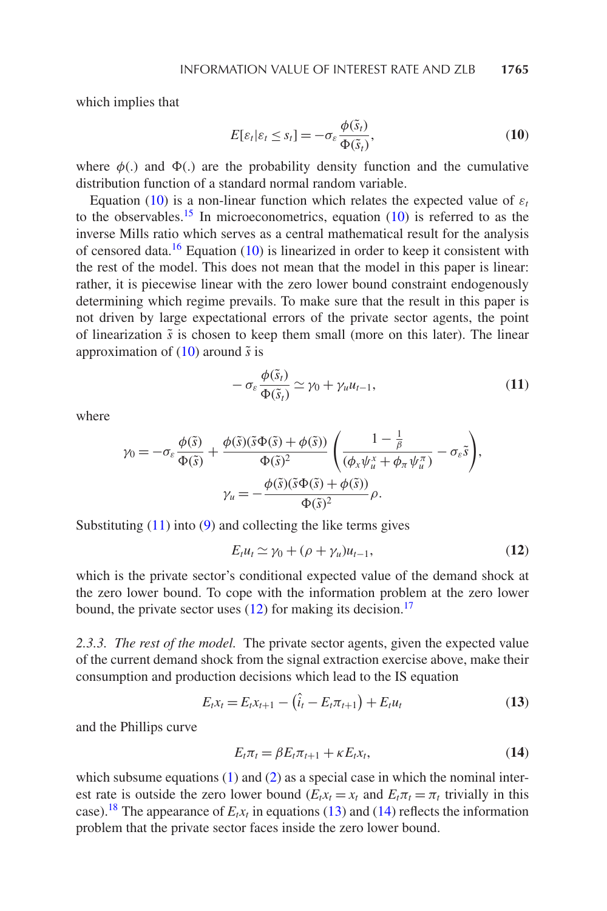which implies that

<span id="page-7-0"></span>
$$
E[\varepsilon_t | \varepsilon_t \le s_t] = -\sigma_\varepsilon \frac{\phi(\tilde{s}_t)}{\Phi(\tilde{s}_t)},
$$
\n(10)

where  $\phi(.)$  and  $\Phi(.)$  are the probability density function and the cumulative distribution function of a standard normal random variable.

Equation [\(10\)](#page-7-0) is a non-linear function which relates the expected value of  $\varepsilon_t$ to the observables.<sup>[15](#page-23-2)</sup> In microeconometrics, equation  $(10)$  is referred to as the inverse Mills ratio which serves as a central mathematical result for the analysis of censored data.<sup>[16](#page-23-3)</sup> Equation  $(10)$  is linearized in order to keep it consistent with the rest of the model. This does not mean that the model in this paper is linear: rather, it is piecewise linear with the zero lower bound constraint endogenously determining which regime prevails. To make sure that the result in this paper is not driven by large expectational errors of the private sector agents, the point of linearization  $\tilde{s}$  is chosen to keep them small (more on this later). The linear approximation of  $(10)$  around  $\tilde{s}$  is

<span id="page-7-1"></span>
$$
-\sigma_{\varepsilon} \frac{\phi(\tilde{s}_t)}{\Phi(\tilde{s}_t)} \simeq \gamma_0 + \gamma_u u_{t-1},\tag{11}
$$

where

$$
\gamma_0 = -\sigma_{\varepsilon} \frac{\phi(\tilde{s})}{\Phi(\tilde{s})} + \frac{\phi(\tilde{s})(\tilde{s}\Phi(\tilde{s}) + \phi(\tilde{s}))}{\Phi(\tilde{s})^2} \left( \frac{1 - \frac{1}{\beta}}{(\phi_x \psi_u^x + \phi_\pi \psi_u^{\pi})} - \sigma_{\varepsilon} \tilde{s} \right),
$$

$$
\gamma_u = -\frac{\phi(\tilde{s})(\tilde{s}\Phi(\tilde{s}) + \phi(\tilde{s}))}{\Phi(\tilde{s})^2} \rho.
$$

Substituting  $(11)$  into  $(9)$  and collecting the like terms gives

<span id="page-7-2"></span>
$$
E_t u_t \simeq \gamma_0 + (\rho + \gamma_u) u_{t-1}, \qquad (12)
$$

which is the private sector's conditional expected value of the demand shock at the zero lower bound. To cope with the information problem at the zero lower bound, the private sector uses  $(12)$  for making its decision.<sup>[17](#page-23-4)</sup>

*2.3.3. The rest of the model.* The private sector agents, given the expected value of the current demand shock from the signal extraction exercise above, make their consumption and production decisions which lead to the IS equation

<span id="page-7-3"></span>
$$
E_t x_t = E_t x_{t+1} - (\hat{i}_t - E_t \pi_{t+1}) + E_t u_t
$$
\n(13)

and the Phillips curve

<span id="page-7-4"></span>
$$
E_t \pi_t = \beta E_t \pi_{t+1} + \kappa E_t x_t, \qquad (14)
$$

which subsume equations  $(1)$  and  $(2)$  as a special case in which the nominal interest rate is outside the zero lower bound  $(E_t x_t = x_t$  and  $E_t \pi_t = \pi_t$  trivially in this case).<sup>[18](#page-23-5)</sup> The appearance of  $E_t x_t$  in equations [\(13\)](#page-7-3) and [\(14\)](#page-7-4) reflects the information problem that the private sector faces inside the zero lower bound.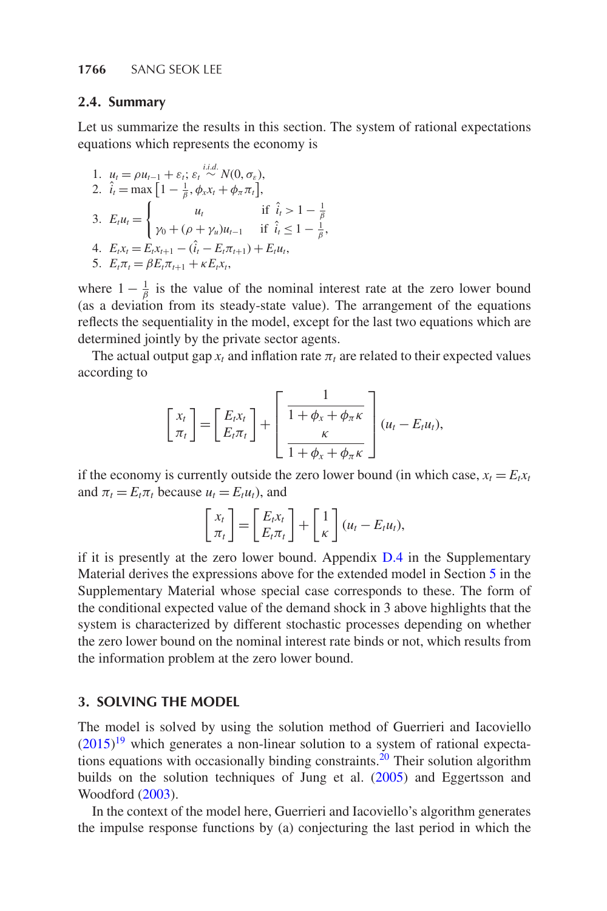## **2.4. Summary**

Let us summarize the results in this section. The system of rational expectations equations which represents the economy is

1. 
$$
u_t = \rho u_{t-1} + \varepsilon_t
$$
;  $\varepsilon_t \stackrel{i.i.d.}{\sim} N(0, \sigma_{\varepsilon})$ ,  
\n2.  $\hat{i}_t = \max \left[ 1 - \frac{1}{\beta}, \phi_x x_t + \phi_\pi \pi_t \right]$ ,  
\n3.  $E_t u_t = \begin{cases} u_t & \text{if } \hat{i}_t > 1 - \frac{1}{\beta} \\ \gamma_0 + (\rho + \gamma_u) u_{t-1} & \text{if } \hat{i}_t \leq 1 - \frac{1}{\beta}, \\ 4. & E_t x_t = E_t x_{t+1} - (\hat{i}_t - E_t \pi_{t+1}) + E_t u_t, \\ 5. & E_t \pi_t = \beta E_t \pi_{t+1} + \kappa E_t x_t, \end{cases}$ 

where  $1 - \frac{1}{\beta}$  is the value of the nominal interest rate at the zero lower bound (as a deviation from its steady-state value). The arrangement of the equations reflects the sequentiality in the model, except for the last two equations which are determined jointly by the private sector agents.

The actual output gap  $x_t$  and inflation rate  $\pi_t$  are related to their expected values according to

$$
\begin{bmatrix} x_t \\ \pi_t \end{bmatrix} = \begin{bmatrix} E_t x_t \\ E_t \pi_t \end{bmatrix} + \begin{bmatrix} \frac{1}{1 + \phi_x + \phi_{\pi} \kappa} \\ \frac{\kappa}{1 + \phi_x + \phi_{\pi} \kappa} \end{bmatrix} (u_t - E_t u_t),
$$

if the economy is currently outside the zero lower bound (in which case,  $x_t = E_t x_t$ and  $\pi_t = E_t \pi_t$  because  $u_t = E_t u_t$ ), and

$$
\begin{bmatrix} x_t \\ \pi_t \end{bmatrix} = \begin{bmatrix} E_t x_t \\ E_t \pi_t \end{bmatrix} + \begin{bmatrix} 1 \\ \kappa \end{bmatrix} (u_t - E_t u_t),
$$

if it is presently at the zero lower bound. Appendix [D.4](#page-22-12) in the Supplementary Material derives the expressions above for the extended model in Section [5](#page-14-0) in the Supplementary Material whose special case corresponds to these. The form of the conditional expected value of the demand shock in 3 above highlights that the system is characterized by different stochastic processes depending on whether the zero lower bound on the nominal interest rate binds or not, which results from the information problem at the zero lower bound.

# <span id="page-8-0"></span>**3. SOLVING THE MODEL**

The model is solved by using the solution method of Guerrieri and Iacoviello  $(2015)^{19}$  $(2015)^{19}$  $(2015)^{19}$  $(2015)^{19}$  which generates a non-linear solution to a system of rational expectations equations with occasionally binding constraints.<sup>20</sup> Their solution algorithm builds on the solution techniques of Jung et al. [\(2005](#page-25-6)) and Eggertsson and Woodford [\(2003](#page-25-5)).

In the context of the model here, Guerrieri and Iacoviello's algorithm generates the impulse response functions by (a) conjecturing the last period in which the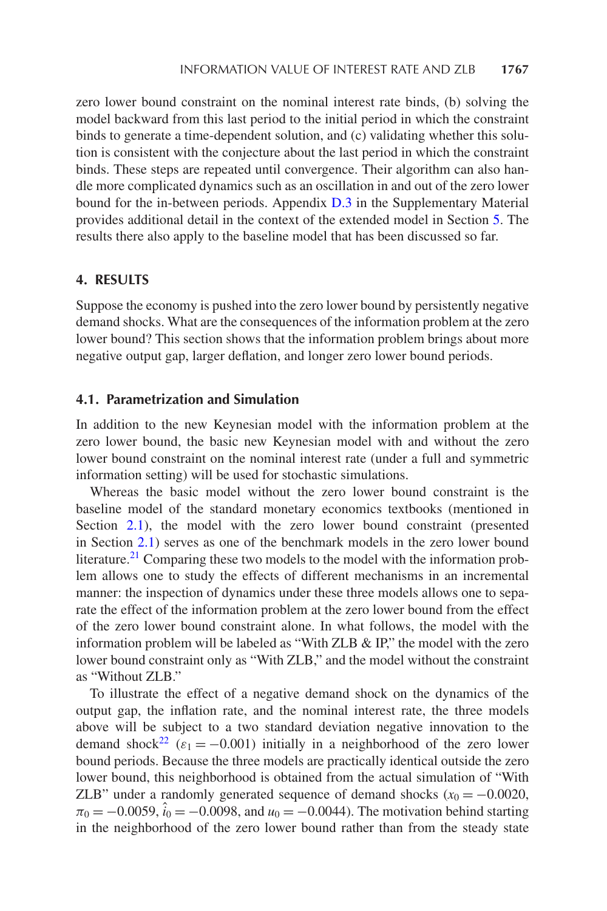zero lower bound constraint on the nominal interest rate binds, (b) solving the model backward from this last period to the initial period in which the constraint binds to generate a time-dependent solution, and (c) validating whether this solution is consistent with the conjecture about the last period in which the constraint binds. These steps are repeated until convergence. Their algorithm can also handle more complicated dynamics such as an oscillation in and out of the zero lower bound for the in-between periods. Appendix [D.3](#page-22-12) in the Supplementary Material provides additional detail in the context of the extended model in Section [5.](#page-14-0) The results there also apply to the baseline model that has been discussed so far.

## <span id="page-9-0"></span>**4. RESULTS**

Suppose the economy is pushed into the zero lower bound by persistently negative demand shocks. What are the consequences of the information problem at the zero lower bound? This section shows that the information problem brings about more negative output gap, larger deflation, and longer zero lower bound periods.

# **4.1. Parametrization and Simulation**

In addition to the new Keynesian model with the information problem at the zero lower bound, the basic new Keynesian model with and without the zero lower bound constraint on the nominal interest rate (under a full and symmetric information setting) will be used for stochastic simulations.

Whereas the basic model without the zero lower bound constraint is the baseline model of the standard monetary economics textbooks (mentioned in Section [2.1\)](#page-3-5), the model with the zero lower bound constraint (presented in Section [2.1\)](#page-3-5) serves as one of the benchmark models in the zero lower bound literature.<sup>[21](#page-23-8)</sup> Comparing these two models to the model with the information problem allows one to study the effects of different mechanisms in an incremental manner: the inspection of dynamics under these three models allows one to separate the effect of the information problem at the zero lower bound from the effect of the zero lower bound constraint alone. In what follows, the model with the information problem will be labeled as "With ZLB  $\&$  IP," the model with the zero lower bound constraint only as "With ZLB," and the model without the constraint as "Without ZLB."

To illustrate the effect of a negative demand shock on the dynamics of the output gap, the inflation rate, and the nominal interest rate, the three models above will be subject to a two standard deviation negative innovation to the demand shock<sup>22</sup> ( $\varepsilon_1 = -0.001$ ) initially in a neighborhood of the zero lower bound periods. Because the three models are practically identical outside the zero lower bound, this neighborhood is obtained from the actual simulation of "With ZLB" under a randomly generated sequence of demand shocks  $(x_0 = -0.0020,$  $\pi_0 = -0.0059$ ,  $\hat{i}_0 = -0.0098$ , and  $u_0 = -0.0044$ ). The motivation behind starting in the neighborhood of the zero lower bound rather than from the steady state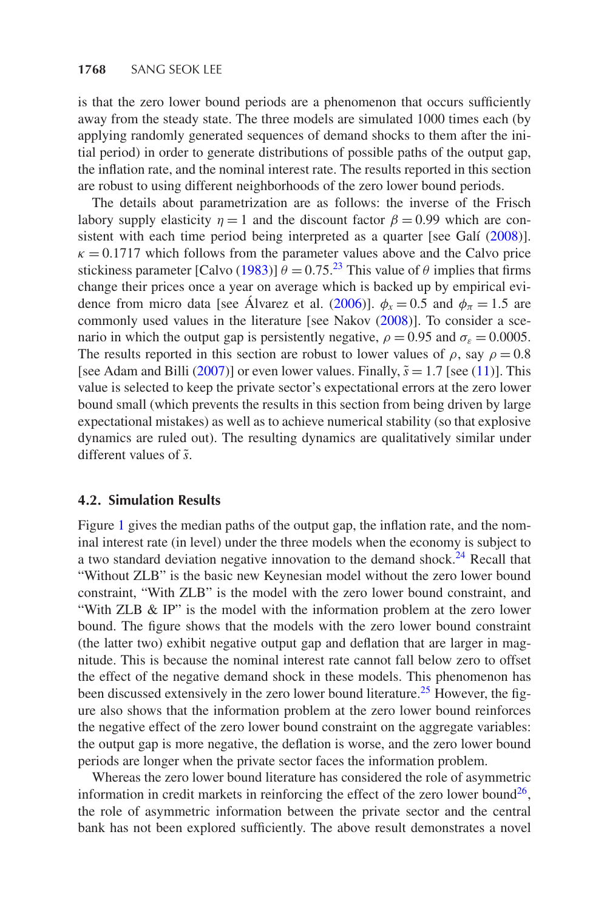is that the zero lower bound periods are a phenomenon that occurs sufficiently away from the steady state. The three models are simulated 1000 times each (by applying randomly generated sequences of demand shocks to them after the initial period) in order to generate distributions of possible paths of the output gap, the inflation rate, and the nominal interest rate. The results reported in this section are robust to using different neighborhoods of the zero lower bound periods.

The details about parametrization are as follows: the inverse of the Frisch labory supply elasticity  $\eta = 1$  and the discount factor  $\beta = 0.99$  which are consistent with each time period being interpreted as a quarter [see Galí [\(2008\)](#page-25-13)].  $\kappa = 0.1717$  which follows from the parameter values above and the Calvo price stickiness parameter [Calvo [\(1983](#page-24-12))]  $\theta = 0.75^{23}$  $\theta = 0.75^{23}$  $\theta = 0.75^{23}$  This value of  $\theta$  implies that firms change their prices once a year on average which is backed up by empirical evi-dence from micro data [see Álvarez et al. [\(2006\)](#page-24-13)].  $\phi_x = 0.5$  and  $\phi_{\pi} = 1.5$  are commonly used values in the literature [see Nakov [\(2008\)](#page-25-7)]. To consider a scenario in which the output gap is persistently negative,  $\rho = 0.95$  and  $\sigma_{\varepsilon} = 0.0005$ . The results reported in this section are robust to lower values of  $\rho$ , say  $\rho = 0.8$ [see Adam and Billi [\(2007](#page-24-3))] or even lower values. Finally,  $\tilde{s} = 1.7$  [see [\(11\)](#page-7-1)]. This value is selected to keep the private sector's expectational errors at the zero lower bound small (which prevents the results in this section from being driven by large expectational mistakes) as well as to achieve numerical stability (so that explosive dynamics are ruled out). The resulting dynamics are qualitatively similar under different values of  $\tilde{s}$ .

## **4.2. Simulation Results**

Figure [1](#page-11-0) gives the median paths of the output gap, the inflation rate, and the nominal interest rate (in level) under the three models when the economy is subject to a two standard deviation negative innovation to the demand shock.<sup>24</sup> Recall that "Without ZLB" is the basic new Keynesian model without the zero lower bound constraint, "With ZLB" is the model with the zero lower bound constraint, and "With ZLB & IP" is the model with the information problem at the zero lower bound. The figure shows that the models with the zero lower bound constraint (the latter two) exhibit negative output gap and deflation that are larger in magnitude. This is because the nominal interest rate cannot fall below zero to offset the effect of the negative demand shock in these models. This phenomenon has been discussed extensively in the zero lower bound literature.<sup>[25](#page-23-12)</sup> However, the figure also shows that the information problem at the zero lower bound reinforces the negative effect of the zero lower bound constraint on the aggregate variables: the output gap is more negative, the deflation is worse, and the zero lower bound periods are longer when the private sector faces the information problem.

Whereas the zero lower bound literature has considered the role of asymmetric information in credit markets in reinforcing the effect of the zero lower bound<sup>26</sup>, the role of asymmetric information between the private sector and the central bank has not been explored sufficiently. The above result demonstrates a novel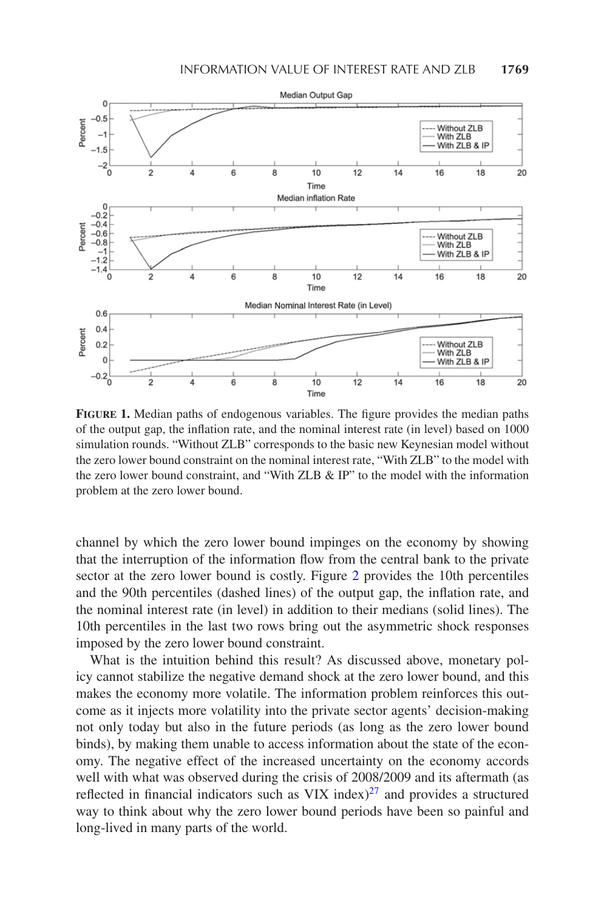<span id="page-11-0"></span>

**FIGURE 1.** Median paths of endogenous variables. The figure provides the median paths of the output gap, the inflation rate, and the nominal interest rate (in level) based on 1000 simulation rounds. "Without ZLB" corresponds to the basic new Keynesian model without the zero lower bound constraint on the nominal interest rate, "With ZLB" to the model with the zero lower bound constraint, and "With ZLB & IP" to the model with the information problem at the zero lower bound.

channel by which the zero lower bound impinges on the economy by showing that the interruption of the information flow from the central bank to the private sector at the zero lower bound is costly. Figure [2](#page-12-0) provides the 10th percentiles and the 90th percentiles (dashed lines) of the output gap, the inflation rate, and the nominal interest rate (in level) in addition to their medians (solid lines). The 10th percentiles in the last two rows bring out the asymmetric shock responses imposed by the zero lower bound constraint.

What is the intuition behind this result? As discussed above, monetary policy cannot stabilize the negative demand shock at the zero lower bound, and this makes the economy more volatile. The information problem reinforces this outcome as it injects more volatility into the private sector agents' decision-making not only today but also in the future periods (as long as the zero lower bound binds), by making them unable to access information about the state of the economy. The negative effect of the increased uncertainty on the economy accords well with what was observed during the crisis of 2008/2009 and its aftermath (as reflected in financial indicators such as VIX index) $^{27}$  and provides a structured way to think about why the zero lower bound periods have been so painful and long-lived in many parts of the world.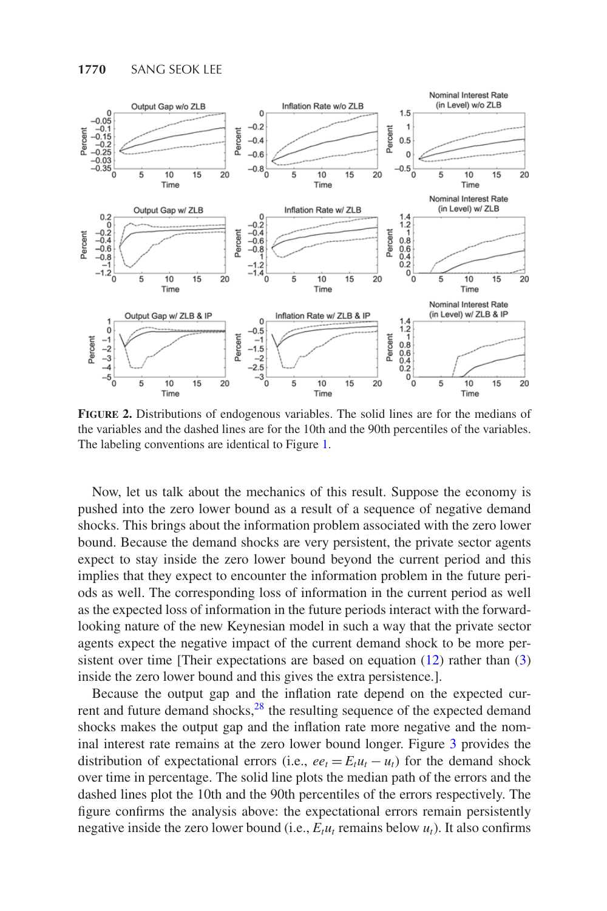<span id="page-12-0"></span>

**FIGURE 2.** Distributions of endogenous variables. The solid lines are for the medians of the variables and the dashed lines are for the 10th and the 90th percentiles of the variables. The labeling conventions are identical to Figure [1.](#page-11-0)

Now, let us talk about the mechanics of this result. Suppose the economy is pushed into the zero lower bound as a result of a sequence of negative demand shocks. This brings about the information problem associated with the zero lower bound. Because the demand shocks are very persistent, the private sector agents expect to stay inside the zero lower bound beyond the current period and this implies that they expect to encounter the information problem in the future periods as well. The corresponding loss of information in the current period as well as the expected loss of information in the future periods interact with the forwardlooking nature of the new Keynesian model in such a way that the private sector agents expect the negative impact of the current demand shock to be more persistent over time [Their expectations are based on equation  $(12)$  rather than  $(3)$ inside the zero lower bound and this gives the extra persistence.].

Because the output gap and the inflation rate depend on the expected current and future demand shocks, $28$  the resulting sequence of the expected demand shocks makes the output gap and the inflation rate more negative and the nominal interest rate remains at the zero lower bound longer. Figure [3](#page-13-0) provides the distribution of expectational errors (i.e.,  $ee_t = E_t u_t - u_t$ ) for the demand shock over time in percentage. The solid line plots the median path of the errors and the dashed lines plot the 10th and the 90th percentiles of the errors respectively. The figure confirms the analysis above: the expectational errors remain persistently negative inside the zero lower bound (i.e.,  $E_t u_t$  remains below  $u_t$ ). It also confirms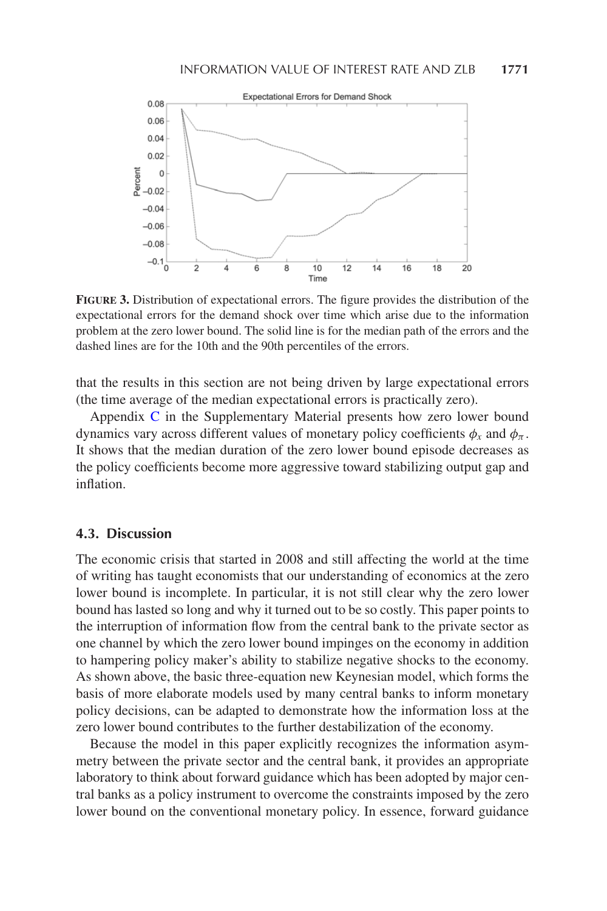<span id="page-13-0"></span>

**FIGURE 3.** Distribution of expectational errors. The figure provides the distribution of the expectational errors for the demand shock over time which arise due to the information problem at the zero lower bound. The solid line is for the median path of the errors and the dashed lines are for the 10th and the 90th percentiles of the errors.

that the results in this section are not being driven by large expectational errors (the time average of the median expectational errors is practically zero).

Appendix [C](#page-22-12) in the Supplementary Material presents how zero lower bound dynamics vary across different values of monetary policy coefficients  $\phi_r$  and  $\phi_\tau$ . It shows that the median duration of the zero lower bound episode decreases as the policy coefficients become more aggressive toward stabilizing output gap and inflation.

# **4.3. Discussion**

The economic crisis that started in 2008 and still affecting the world at the time of writing has taught economists that our understanding of economics at the zero lower bound is incomplete. In particular, it is not still clear why the zero lower bound has lasted so long and why it turned out to be so costly. This paper points to the interruption of information flow from the central bank to the private sector as one channel by which the zero lower bound impinges on the economy in addition to hampering policy maker's ability to stabilize negative shocks to the economy. As shown above, the basic three-equation new Keynesian model, which forms the basis of more elaborate models used by many central banks to inform monetary policy decisions, can be adapted to demonstrate how the information loss at the zero lower bound contributes to the further destabilization of the economy.

Because the model in this paper explicitly recognizes the information asymmetry between the private sector and the central bank, it provides an appropriate laboratory to think about forward guidance which has been adopted by major central banks as a policy instrument to overcome the constraints imposed by the zero lower bound on the conventional monetary policy. In essence, forward guidance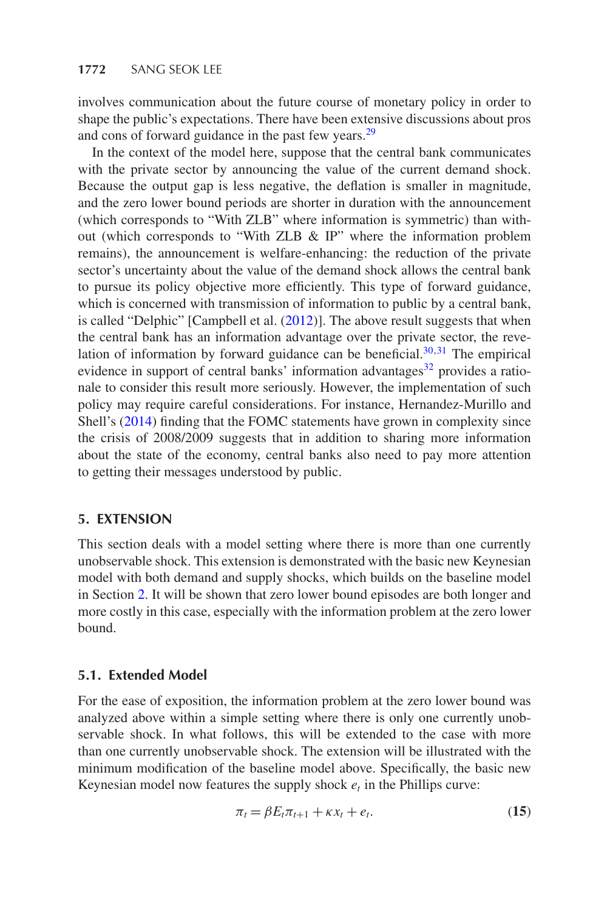involves communication about the future course of monetary policy in order to shape the public's expectations. There have been extensive discussions about pros and cons of forward guidance in the past few years.[29](#page-23-16)

In the context of the model here, suppose that the central bank communicates with the private sector by announcing the value of the current demand shock. Because the output gap is less negative, the deflation is smaller in magnitude, and the zero lower bound periods are shorter in duration with the announcement (which corresponds to "With ZLB" where information is symmetric) than without (which corresponds to "With ZLB & IP" where the information problem remains), the announcement is welfare-enhancing: the reduction of the private sector's uncertainty about the value of the demand shock allows the central bank to pursue its policy objective more efficiently. This type of forward guidance, which is concerned with transmission of information to public by a central bank, is called "Delphic" [Campbell et al. [\(2012\)](#page-24-0)]. The above result suggests that when the central bank has an information advantage over the private sector, the revelation of information by forward guidance can be beneficial. $30,31$  $30,31$  The empirical evidence in support of central banks' information advantages  $32$  provides a rationale to consider this result more seriously. However, the implementation of such policy may require careful considerations. For instance, Hernandez-Murillo and Shell's [\(2014](#page-25-14)) finding that the FOMC statements have grown in complexity since the crisis of 2008/2009 suggests that in addition to sharing more information about the state of the economy, central banks also need to pay more attention to getting their messages understood by public.

# <span id="page-14-0"></span>**5. EXTENSION**

This section deals with a model setting where there is more than one currently unobservable shock. This extension is demonstrated with the basic new Keynesian model with both demand and supply shocks, which builds on the baseline model in Section [2.](#page-3-0) It will be shown that zero lower bound episodes are both longer and more costly in this case, especially with the information problem at the zero lower bound.

# **5.1. Extended Model**

For the ease of exposition, the information problem at the zero lower bound was analyzed above within a simple setting where there is only one currently unobservable shock. In what follows, this will be extended to the case with more than one currently unobservable shock. The extension will be illustrated with the minimum modification of the baseline model above. Specifically, the basic new Keynesian model now features the supply shock  $e_t$  in the Phillips curve:

<span id="page-14-1"></span>
$$
\pi_t = \beta E_t \pi_{t+1} + \kappa x_t + e_t. \tag{15}
$$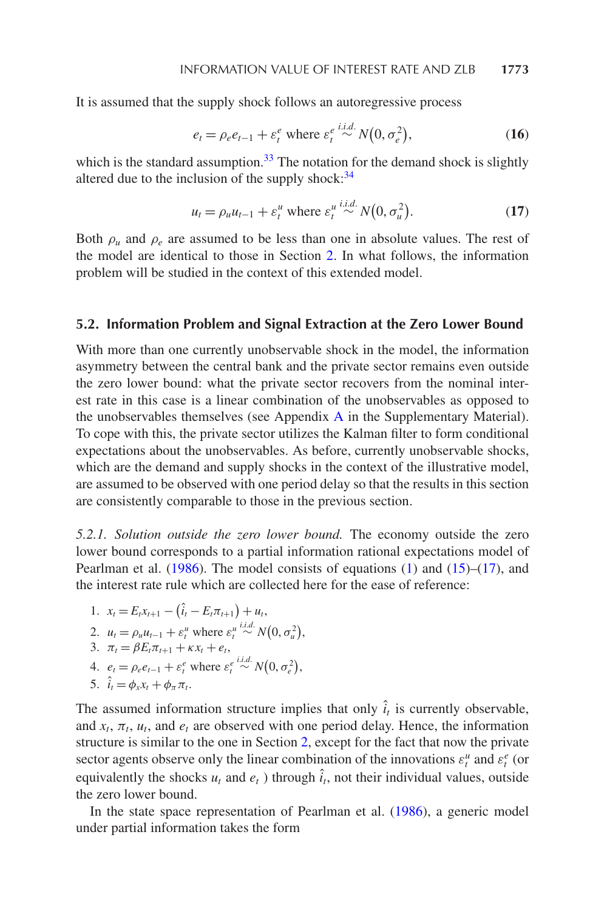It is assumed that the supply shock follows an autoregressive process

<span id="page-15-1"></span>
$$
e_t = \rho_e e_{t-1} + \varepsilon_t^e \text{ where } \varepsilon_t^e \stackrel{\text{i.i.d.}}{\sim} N(0, \sigma_e^2),
$$
 (16)

*i*.*i*.*d*.

which is the standard assumption.<sup>33</sup> The notation for the demand shock is slightly altered due to the inclusion of the supply shock: $34$ 

<span id="page-15-0"></span>
$$
u_t = \rho_u u_{t-1} + \varepsilon_t^u \text{ where } \varepsilon_t^u \stackrel{i.i.d.}{\sim} N(0, \sigma_u^2). \tag{17}
$$

Both  $\rho_u$  and  $\rho_e$  are assumed to be less than one in absolute values. The rest of the model are identical to those in Section [2.](#page-3-0) In what follows, the information problem will be studied in the context of this extended model.

#### **5.2. Information Problem and Signal Extraction at the Zero Lower Bound**

With more than one currently unobservable shock in the model, the information asymmetry between the central bank and the private sector remains even outside the zero lower bound: what the private sector recovers from the nominal interest rate in this case is a linear combination of the unobservables as opposed to the unobservables themselves (see [A](#page-22-12)ppendix  $\overline{A}$  in the Supplementary Material). To cope with this, the private sector utilizes the Kalman filter to form conditional expectations about the unobservables. As before, currently unobservable shocks, which are the demand and supply shocks in the context of the illustrative model, are assumed to be observed with one period delay so that the results in this section are consistently comparable to those in the previous section.

*5.2.1. Solution outside the zero lower bound.* The economy outside the zero lower bound corresponds to a partial information rational expectations model of Pearlman et al. [\(1986\)](#page-25-15). The model consists of equations  $(1)$  and  $(15)$ – $(17)$ , and the interest rate rule which are collected here for the ease of reference:

1.  $x_t = E_t x_{t+1} - (\hat{i}_t - E_t \pi_{t+1}) + u_t$ 2.  $u_t = \rho_u u_{t-1} + \varepsilon_t^u$  where  $\varepsilon_t^u$  $\stackrel{i.i.d.}{\sim} N(0, \sigma_u^2),$ 3.  $\pi_t = \beta E_t \pi_{t+1} + \kappa x_t + e_t$ 4.  $e_t = \rho_e e_{t-1} + \varepsilon_t^e$  where  $\varepsilon_t^e$  $\stackrel{i.i.d.}{\sim} N(0, \sigma_e^2),$ 5.  $\hat{i}_t = \phi_{xx} + \phi_{\pi} \pi_t$ .

The assumed information structure implies that only  $\hat{i}_t$  is currently observable, and  $x_t$ ,  $\pi_t$ ,  $u_t$ , and  $e_t$  are observed with one period delay. Hence, the information structure is similar to the one in Section [2,](#page-3-0) except for the fact that now the private sector agents observe only the linear combination of the innovations  $\varepsilon_t^u$  and  $\varepsilon_t^e$  (or equivalently the shocks  $u_t$  and  $e_t$ ) through  $\hat{i}_t$ , not their individual values, outside the zero lower bound.

In the state space representation of Pearlman et al. [\(1986\)](#page-25-15), a generic model under partial information takes the form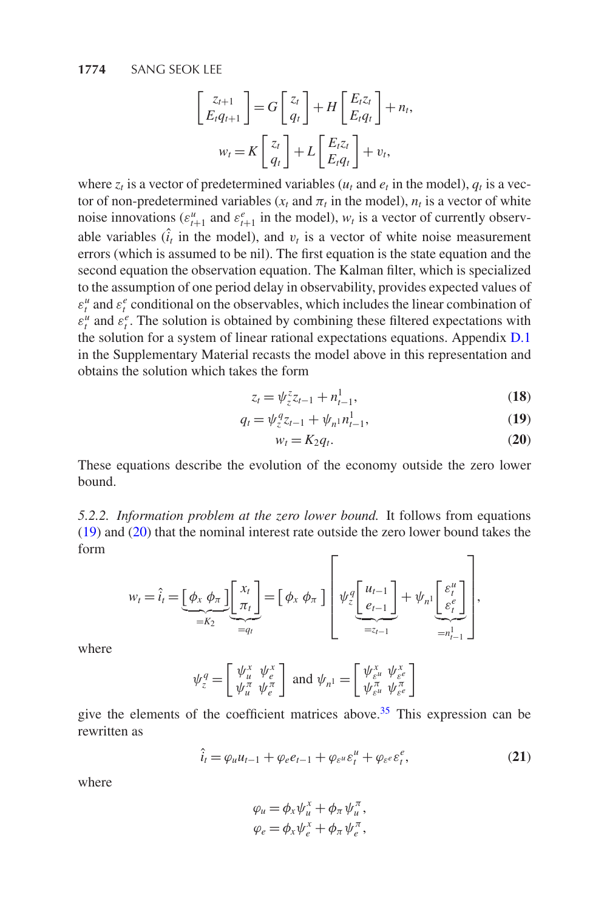$$
\begin{bmatrix} z_{t+1} \\ E_t q_{t+1} \end{bmatrix} = G \begin{bmatrix} z_t \\ q_t \end{bmatrix} + H \begin{bmatrix} E_t z_t \\ E_t q_t \end{bmatrix} + n_t,
$$

$$
w_t = K \begin{bmatrix} z_t \\ q_t \end{bmatrix} + L \begin{bmatrix} E_t z_t \\ E_t q_t \end{bmatrix} + v_t,
$$

where  $z_t$  is a vector of predetermined variables ( $u_t$  and  $e_t$  in the model),  $q_t$  is a vector of non-predetermined variables  $(x_t$  and  $\pi_t$  in the model),  $n_t$  is a vector of white noise innovations ( $\varepsilon_{t+1}^u$  and  $\varepsilon_{t+1}^e$  in the model),  $w_t$  is a vector of currently observable variables  $(\hat{i}_t$  in the model), and  $v_t$  is a vector of white noise measurement errors (which is assumed to be nil). The first equation is the state equation and the second equation the observation equation. The Kalman filter, which is specialized to the assumption of one period delay in observability, provides expected values of  $\varepsilon_t^u$  and  $\varepsilon_t^e$  conditional on the observables, which includes the linear combination of  $\varepsilon_t^u$  and  $\varepsilon_t^e$ . The solution is obtained by combining these filtered expectations with the solution for a system of linear rational expectations equations. Appendix [D.1](#page-22-12) in the Supplementary Material recasts the model above in this representation and obtains the solution which takes the form

$$
z_t = \psi_z^z z_{t-1} + n_{t-1}^1, \tag{18}
$$

$$
q_t = \psi_z^q z_{t-1} + \psi_{n1} n_{t-1}^1,
$$
\n(19)

<span id="page-16-1"></span><span id="page-16-0"></span>
$$
w_t = K_2 q_t. \tag{20}
$$

These equations describe the evolution of the economy outside the zero lower bound.

*5.2.2. Information problem at the zero lower bound.* It follows from equations [\(19\)](#page-16-0) and [\(20\)](#page-16-1) that the nominal interest rate outside the zero lower bound takes the form  $\overline{a}$  $\overline{a}$ 

$$
w_t = \hat{i}_t = \underbrace{\left[\phi_x \phi_\pi\right]}_{=K_2} \underbrace{\begin{bmatrix} x_t \\ \pi_t \end{bmatrix}}_{=q_t} = \left[\phi_x \phi_\pi\right] \left[\begin{array}{c} u_{t-1} \\ \psi_z^q \underbrace{\begin{bmatrix} u_{t-1} \\ e_{t-1} \end{bmatrix}}_{=z_{t-1}} + \psi_n \underbrace{\begin{bmatrix} \varepsilon_t^u \\ \varepsilon_t^e \end{bmatrix}}_{=n_{t-1}^1} \right],
$$

where

$$
\psi_z^q = \begin{bmatrix} \psi_u^x & \psi_e^x \\ \psi_u^{\pi} & \psi_e^{\pi} \end{bmatrix} \text{ and } \psi_{n^1} = \begin{bmatrix} \psi_{\varepsilon^u}^x & \psi_{\varepsilon^u}^x \\ \psi_{\varepsilon^u}^{\pi} & \psi_{\varepsilon^a}^{\pi} \end{bmatrix}
$$

give the elements of the coefficient matrices above.<sup>[35](#page-24-17)</sup> This expression can be rewritten as

<span id="page-16-2"></span>
$$
\hat{i}_t = \varphi_u u_{t-1} + \varphi_e e_{t-1} + \varphi_{e^u} e^u_t + \varphi_{e^e} e^e_t, \tag{21}
$$

where

$$
\varphi_u = \phi_x \psi_u^x + \phi_\pi \psi_u^\pi,
$$
  

$$
\varphi_e = \phi_x \psi_e^x + \phi_\pi \psi_e^\pi,
$$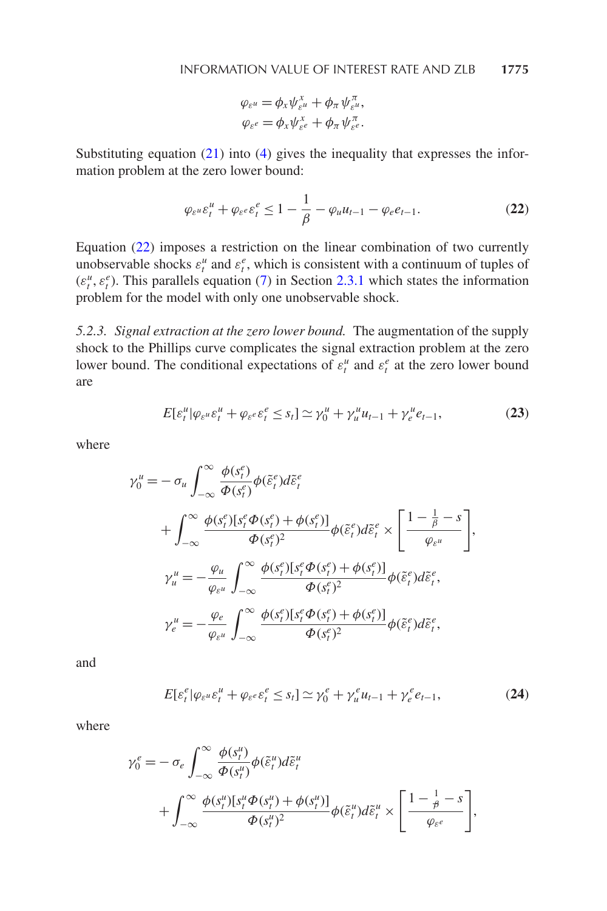$$
\varphi_{\varepsilon^u} = \phi_x \psi_{\varepsilon^u}^x + \phi_\pi \psi_{\varepsilon^u}^\pi,
$$
  

$$
\varphi_{\varepsilon^e} = \phi_x \psi_{\varepsilon^e}^x + \phi_\pi \psi_{\varepsilon^e}^\pi.
$$

Substituting equation  $(21)$  into  $(4)$  gives the inequality that expresses the information problem at the zero lower bound:

<span id="page-17-0"></span>
$$
\varphi_{\varepsilon^u} \varepsilon_t^u + \varphi_{\varepsilon^e} \varepsilon_t^e \le 1 - \frac{1}{\beta} - \varphi_u u_{t-1} - \varphi_e e_{t-1}.
$$
 (22)

Equation [\(22\)](#page-17-0) imposes a restriction on the linear combination of two currently unobservable shocks  $\varepsilon_t^u$  and  $\varepsilon_t^e$ , which is consistent with a continuum of tuples of  $(\varepsilon_t^u, \varepsilon_t^e)$ . This parallels equation [\(7\)](#page-6-0) in Section [2.3.1](#page-5-2) which states the information problem for the model with only one unobservable shock.

<span id="page-17-3"></span>*5.2.3. Signal extraction at the zero lower bound.* The augmentation of the supply shock to the Phillips curve complicates the signal extraction problem at the zero lower bound. The conditional expectations of  $\varepsilon_t^u$  and  $\varepsilon_t^e$  at the zero lower bound are

<span id="page-17-1"></span>
$$
E[\varepsilon_t^u | \varphi_{\varepsilon^u} \varepsilon_t^u + \varphi_{\varepsilon^e} \varepsilon_t^e \leq s_t] \simeq \gamma_0^u + \gamma_u^u u_{t-1} + \gamma_e^u e_{t-1},
$$
\n(23)

where

$$
\gamma_{0}^{\mu} = -\sigma_{\mu} \int_{-\infty}^{\infty} \frac{\phi(s_{t}^{e})}{\Phi(s_{t}^{e})} \phi(\tilde{\varepsilon}_{t}^{e}) d\tilde{\varepsilon}_{t}^{e}
$$
  
+ 
$$
\int_{-\infty}^{\infty} \frac{\phi(s_{t}^{e})[s_{t}^{e} \Phi(s_{t}^{e}) + \phi(s_{t}^{e})]}{\Phi(s_{t}^{e})^{2}} \phi(\tilde{\varepsilon}_{t}^{e}) d\tilde{\varepsilon}_{t}^{e} \times \left[ \frac{1 - \frac{1}{\beta} - s}{\varphi_{\varepsilon^{\mu}}} \right],
$$
  

$$
\gamma_{\mu}^{\mu} = -\frac{\varphi_{\mu}}{\varphi_{\varepsilon^{\mu}}} \int_{-\infty}^{\infty} \frac{\phi(s_{t}^{e})[s_{t}^{e} \Phi(s_{t}^{e}) + \phi(s_{t}^{e})]}{\Phi(s_{t}^{e})^{2}} \phi(\tilde{\varepsilon}_{t}^{e}) d\tilde{\varepsilon}_{t}^{e},
$$
  

$$
\gamma_{e}^{\mu} = -\frac{\varphi_{e}}{\varphi_{\varepsilon^{\mu}}} \int_{-\infty}^{\infty} \frac{\phi(s_{t}^{e})[s_{t}^{e} \Phi(s_{t}^{e}) + \phi(s_{t}^{e})]}{\Phi(s_{t}^{e})^{2}} \phi(\tilde{\varepsilon}_{t}^{e}) d\tilde{\varepsilon}_{t}^{e},
$$

and

<span id="page-17-2"></span>
$$
E[\varepsilon_f^e | \varphi_{\varepsilon^u} \varepsilon_t^u + \varphi_{\varepsilon^e} \varepsilon_f^e \leq s_t] \simeq \gamma_0^e + \gamma_u^e u_{t-1} + \gamma_e^e e_{t-1},
$$
\n(24)

where

$$
\gamma_0^e = -\sigma_e \int_{-\infty}^{\infty} \frac{\phi(s_t^u)}{\phi(s_t^u)} \phi(\tilde{\varepsilon}_t^u) d\tilde{\varepsilon}_t^u
$$
  
+ 
$$
\int_{-\infty}^{\infty} \frac{\phi(s_t^u)[s_t^u \phi(s_t^u) + \phi(s_t^u)]}{\phi(s_t^u)^2} \phi(\tilde{\varepsilon}_t^u) d\tilde{\varepsilon}_t^u \times \left[ \frac{1 - \frac{1}{\beta} - s}{\varphi_{\varepsilon^e}} \right],
$$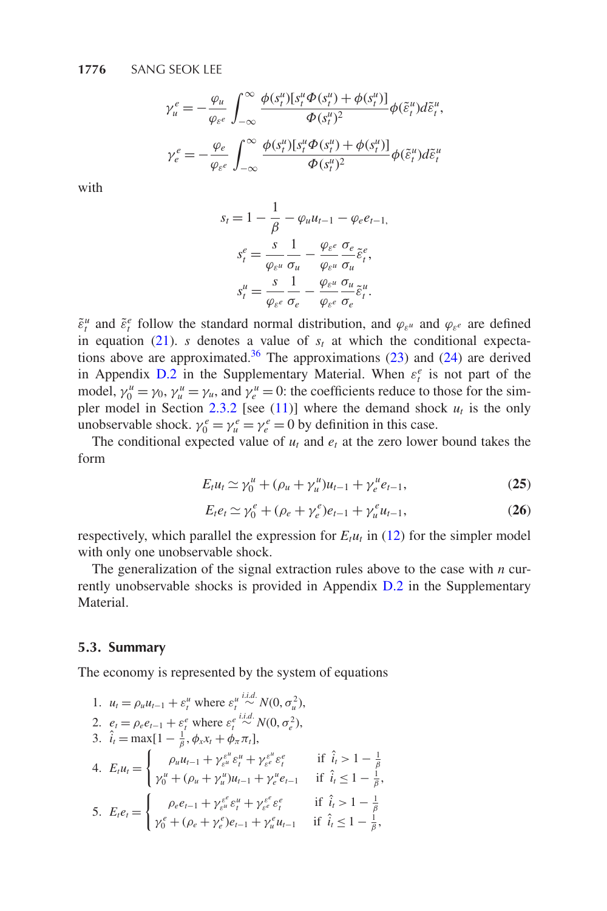$$
\gamma_{u}^{e} = -\frac{\varphi_{u}}{\varphi_{\varepsilon^{e}}} \int_{-\infty}^{\infty} \frac{\phi(s_{t}^{u}) [s_{t}^{u} \Phi(s_{t}^{u}) + \phi(s_{t}^{u})]}{\Phi(s_{t}^{u})^{2}} \phi(\tilde{\varepsilon}_{t}^{u}) d\tilde{\varepsilon}_{t}^{u},
$$

$$
\gamma_{e}^{e} = -\frac{\varphi_{e}}{\varphi_{\varepsilon^{e}}} \int_{-\infty}^{\infty} \frac{\phi(s_{t}^{u}) [s_{t}^{u} \Phi(s_{t}^{u}) + \phi(s_{t}^{u})]}{\Phi(s_{t}^{u})^{2}} \phi(\tilde{\varepsilon}_{t}^{u}) d\tilde{\varepsilon}_{t}^{u}
$$

with

$$
s_t = 1 - \frac{1}{\beta} - \varphi_u u_{t-1} - \varphi_e e_{t-1},
$$
  

$$
s_t^e = \frac{s}{\varphi_{\varepsilon^u}} \frac{1}{\sigma_u} - \frac{\varphi_{\varepsilon^e}}{\varphi_{\varepsilon^u}} \frac{\sigma_e}{\sigma_u} \tilde{\varepsilon}_t^e,
$$
  

$$
s_t^u = \frac{s}{\varphi_{\varepsilon^e}} \frac{1}{\sigma_e} - \frac{\varphi_{\varepsilon^u}}{\varphi_{\varepsilon^e}} \frac{\sigma_u}{\sigma_e} \tilde{\varepsilon}_t^u.
$$

 $\tilde{\epsilon}_t^u$  and  $\tilde{\epsilon}_t^e$  follow the standard normal distribution, and  $\varphi_{\varepsilon^u}$  and  $\varphi_{\varepsilon^e}$  are defined in equation [\(21\)](#page-16-2). *s* denotes a value of  $s_t$  at which the conditional expecta-tions above are approximated.<sup>[36](#page-24-18)</sup> The approximations  $(23)$  and  $(24)$  are derived in Appendix [D.2](#page-22-12) in the Supplementary Material. When  $\varepsilon_t^e$  is not part of the model,  $\gamma_0^u = \gamma_0$ ,  $\gamma_u^u = \gamma_u$ , and  $\gamma_e^u = 0$ : the coefficients reduce to those for the sim-pler model in Section [2.3.2](#page-6-3) [see  $(11)$ ] where the demand shock  $u_t$  is the only unobservable shock.  $\gamma_0^e = \gamma_u^e = \gamma_e^e = 0$  by definition in this case.

The conditional expected value of  $u_t$  and  $e_t$  at the zero lower bound takes the form

$$
E_t u_t \simeq \gamma_0^u + (\rho_u + \gamma_u^u) u_{t-1} + \gamma_e^u e_{t-1},
$$
\n(25)

$$
E_t e_t \simeq \gamma_0^e + (\rho_e + \gamma_e^e) e_{t-1} + \gamma_u^e u_{t-1}, \qquad (26)
$$

respectively, which parallel the expression for  $E_t u_t$  in [\(12\)](#page-7-2) for the simpler model with only one unobservable shock.

The generalization of the signal extraction rules above to the case with *n* currently unobservable shocks is provided in Appendix [D.2](#page-22-12) in the Supplementary Material.

## **5.3. Summary**

The economy is represented by the system of equations

1. 
$$
u_t = \rho_u u_{t-1} + \varepsilon_t^u
$$
 where  $\varepsilon_t^u \stackrel{i.i.d.}{\sim} N(0, \sigma_u^2)$ ,  
\n2.  $e_t = \rho_e e_{t-1} + \varepsilon_t^e$  where  $\varepsilon_t^e \stackrel{i.i.d.}{\sim} N(0, \sigma_e^2)$ ,  
\n3.  $\hat{i}_t = \max[1 - \frac{1}{\beta}, \phi_x x_t + \phi_\pi \pi_t]$ ,  
\n4.  $E_t u_t = \begin{cases} \rho_u u_{t-1} + \gamma_{\varepsilon^u} \varepsilon_t^u + \gamma_{\varepsilon^e} \varepsilon_t^e & \text{if } \hat{i}_t > 1 - \frac{1}{\beta} \\ \gamma_0^u + (\rho_u + \gamma_u^u) u_{t-1} + \gamma_e^u e_{t-1} & \text{if } \hat{i}_t \le 1 - \frac{1}{\beta}, \end{cases}$   
\n5.  $E_t e_t = \begin{cases} \rho_e e_{t-1} + \gamma_{\varepsilon^u} \varepsilon_t^u + \gamma_{\varepsilon^e} \varepsilon_t^e & \text{if } \hat{i}_t > 1 - \frac{1}{\beta} \\ \gamma_0^e + (\rho_e + \gamma_e^e) e_{t-1} + \gamma_u^e u_{t-1} & \text{if } \hat{i}_t \le 1 - \frac{1}{\beta}, \end{cases}$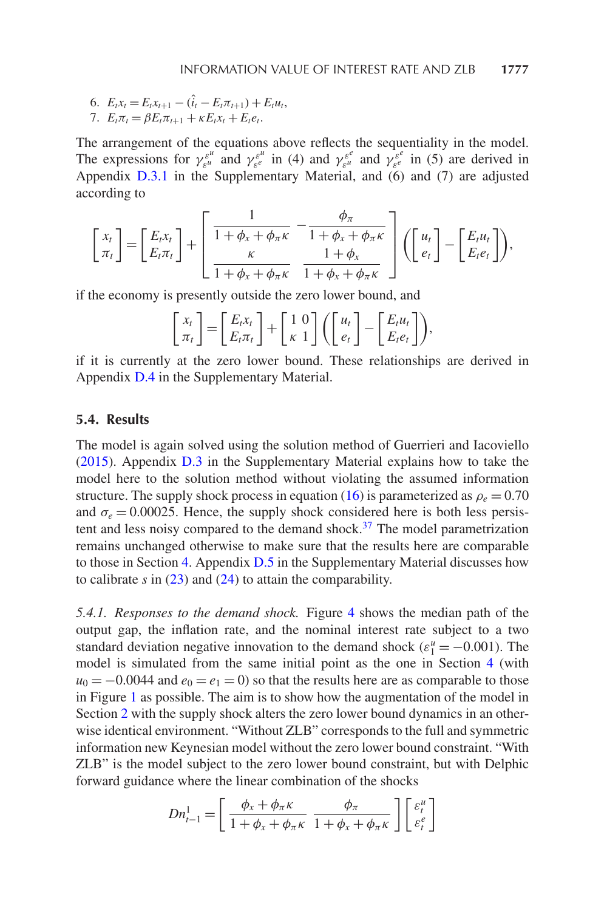6.  $E_t x_t = E_t x_{t+1} - (\hat{i}_t - E_t \pi_{t+1}) + E_t u_t$ 

7. 
$$
E_t \pi_t = \beta E_t \pi_{t+1} + \kappa E_t x_t + E_t e_t.
$$

The arrangement of the equations above reflects the sequentiality in the model. The expressions for  $\gamma_{\varepsilon u}^{\varepsilon^u}$  and  $\gamma_{\varepsilon e}^{\varepsilon^u}$  in (4) and  $\gamma_{\varepsilon u}^{\varepsilon^e}$  and  $\gamma_{\varepsilon e}^{\varepsilon^e}$  in (5) are derived in Appendix [D.3.1](#page-22-12) in the Supplementary Material, and (6) and (7) are adjusted according to

$$
\begin{bmatrix} x_t \\ \pi_t \end{bmatrix} = \begin{bmatrix} E_t x_t \\ E_t \pi_t \end{bmatrix} + \begin{bmatrix} \frac{1}{1 + \phi_x + \phi_\pi \kappa} & -\frac{\phi_\pi}{1 + \phi_x + \phi_\pi \kappa} \\ \frac{\kappa}{1 + \phi_x + \phi_\pi \kappa} & \frac{1 + \phi_x}{1 + \phi_x + \phi_\pi \kappa} \end{bmatrix} \left( \begin{bmatrix} u_t \\ e_t \end{bmatrix} - \begin{bmatrix} E_t u_t \\ E_t e_t \end{bmatrix} \right),
$$

if the economy is presently outside the zero lower bound, and

$$
\begin{bmatrix} x_t \\ \pi_t \end{bmatrix} = \begin{bmatrix} E_t x_t \\ E_t \pi_t \end{bmatrix} + \begin{bmatrix} 1 & 0 \\ \kappa & 1 \end{bmatrix} \left( \begin{bmatrix} u_t \\ e_t \end{bmatrix} - \begin{bmatrix} E_t u_t \\ E_t e_t \end{bmatrix} \right),
$$

if it is currently at the zero lower bound. These relationships are derived in Appendix [D.4](#page-22-12) in the Supplementary Material.

## **5.4. Results**

The model is again solved using the solution method of Guerrieri and Iacoviello [\(2015](#page-25-12)). Appendix [D.3](#page-22-12) in the Supplementary Material explains how to take the model here to the solution method without violating the assumed information structure. The supply shock process in equation [\(16\)](#page-15-1) is parameterized as  $\rho_e = 0.70$ and  $\sigma_e = 0.00025$ . Hence, the supply shock considered here is both less persistent and less noisy compared to the demand shock. $37$  The model parametrization remains unchanged otherwise to make sure that the results here are comparable to those in Section [4.](#page-9-0) Appendix [D.5](#page-22-12) in the Supplementary Material discusses how to calibrate *s* in [\(23\)](#page-17-1) and [\(24\)](#page-17-2) to attain the comparability.

*5.4.1. Responses to the demand shock.* Figure [4](#page-20-0) shows the median path of the output gap, the inflation rate, and the nominal interest rate subject to a two standard deviation negative innovation to the demand shock ( $\varepsilon_1^{\mu} = -0.001$ ). The model is simulated from the same initial point as the one in Section [4](#page-9-0) (with  $u_0 = -0.0044$  and  $e_0 = e_1 = 0$ ) so that the results here are as comparable to those in Figure [1](#page-11-0) as possible. The aim is to show how the augmentation of the model in Section [2](#page-3-0) with the supply shock alters the zero lower bound dynamics in an otherwise identical environment. "Without ZLB" corresponds to the full and symmetric information new Keynesian model without the zero lower bound constraint. "With ZLB" is the model subject to the zero lower bound constraint, but with Delphic forward guidance where the linear combination of the shocks

$$
Dn_{t-1}^1 = \left[ \frac{\phi_x + \phi_{\pi}\kappa}{1 + \phi_x + \phi_{\pi}\kappa} \frac{\phi_{\pi}}{1 + \phi_x + \phi_{\pi}\kappa} \right] \left[ \begin{matrix} \varepsilon_t^u \\ \varepsilon_t^e \end{matrix} \right]
$$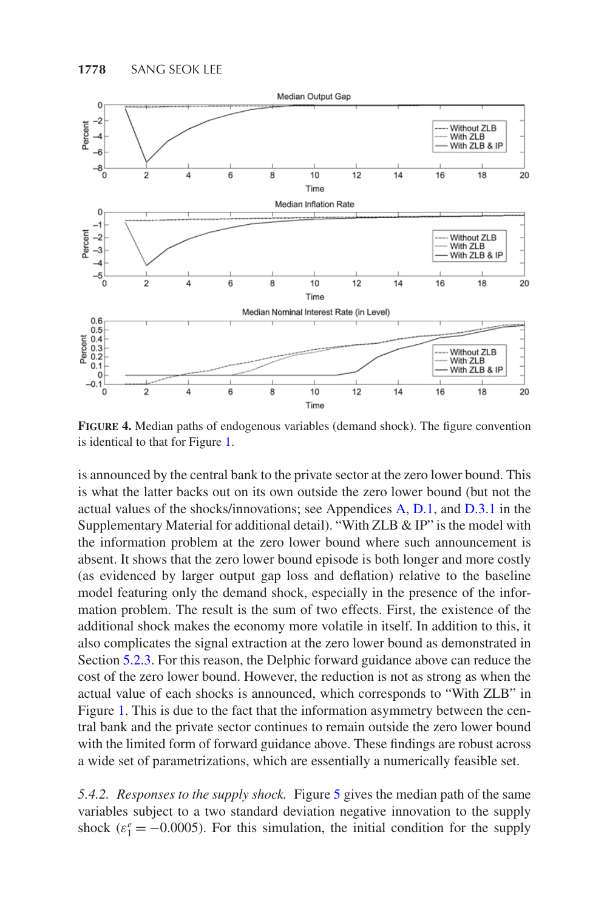<span id="page-20-0"></span>![](_page_20_Figure_1.jpeg)

**FIGURE 4.** Median paths of endogenous variables (demand shock). The figure convention is identical to that for Figure [1.](#page-11-0)

is announced by the central bank to the private sector at the zero lower bound. This is what the latter backs out on its own outside the zero lower bound (but not the actual values of the shocks/innovations; see Appendices [A,](#page-22-12) [D.1,](#page-22-12) and [D.3.1](#page-22-12) in the Supplementary Material for additional detail). "With ZLB  $\&$  IP" is the model with the information problem at the zero lower bound where such announcement is absent. It shows that the zero lower bound episode is both longer and more costly (as evidenced by larger output gap loss and deflation) relative to the baseline model featuring only the demand shock, especially in the presence of the information problem. The result is the sum of two effects. First, the existence of the additional shock makes the economy more volatile in itself. In addition to this, it also complicates the signal extraction at the zero lower bound as demonstrated in Section [5.2.3.](#page-17-3) For this reason, the Delphic forward guidance above can reduce the cost of the zero lower bound. However, the reduction is not as strong as when the actual value of each shocks is announced, which corresponds to "With ZLB" in Figure [1.](#page-11-0) This is due to the fact that the information asymmetry between the central bank and the private sector continues to remain outside the zero lower bound with the limited form of forward guidance above. These findings are robust across a wide set of parametrizations, which are essentially a numerically feasible set.

*5.4.2. Responses to the supply shock.* Figure [5](#page-21-1) gives the median path of the same variables subject to a two standard deviation negative innovation to the supply shock  $(\varepsilon_1^e = -0.0005)$ . For this simulation, the initial condition for the supply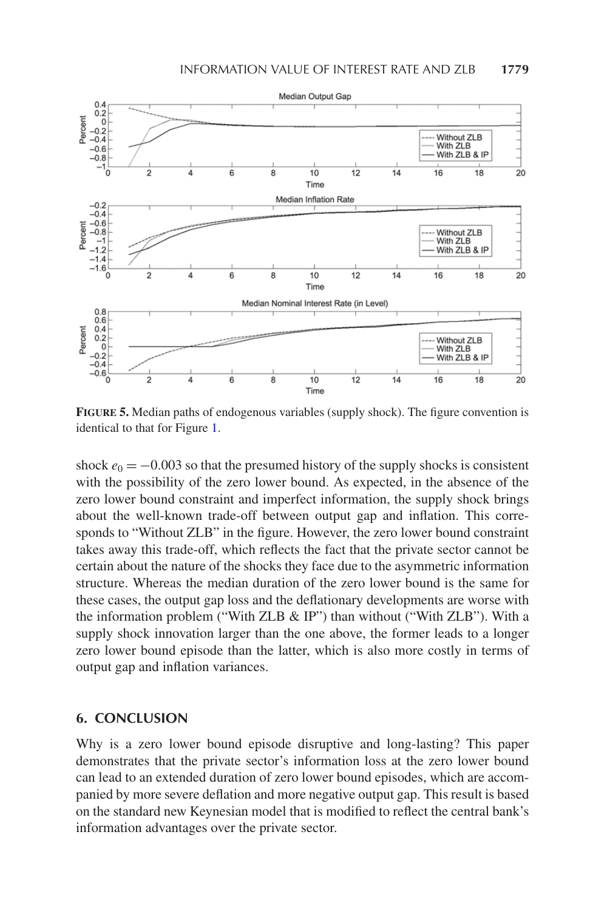<span id="page-21-1"></span>![](_page_21_Figure_1.jpeg)

**FIGURE 5.** Median paths of endogenous variables (supply shock). The figure convention is identical to that for Figure [1.](#page-11-0)

shock  $e_0 = -0.003$  so that the presumed history of the supply shocks is consistent with the possibility of the zero lower bound. As expected, in the absence of the zero lower bound constraint and imperfect information, the supply shock brings about the well-known trade-off between output gap and inflation. This corresponds to "Without ZLB" in the figure. However, the zero lower bound constraint takes away this trade-off, which reflects the fact that the private sector cannot be certain about the nature of the shocks they face due to the asymmetric information structure. Whereas the median duration of the zero lower bound is the same for these cases, the output gap loss and the deflationary developments are worse with the information problem ("With ZLB & IP") than without ("With ZLB"). With a supply shock innovation larger than the one above, the former leads to a longer zero lower bound episode than the latter, which is also more costly in terms of output gap and inflation variances.

# <span id="page-21-0"></span>**6. CONCLUSION**

Why is a zero lower bound episode disruptive and long-lasting? This paper demonstrates that the private sector's information loss at the zero lower bound can lead to an extended duration of zero lower bound episodes, which are accompanied by more severe deflation and more negative output gap. This result is based on the standard new Keynesian model that is modified to reflect the central bank's information advantages over the private sector.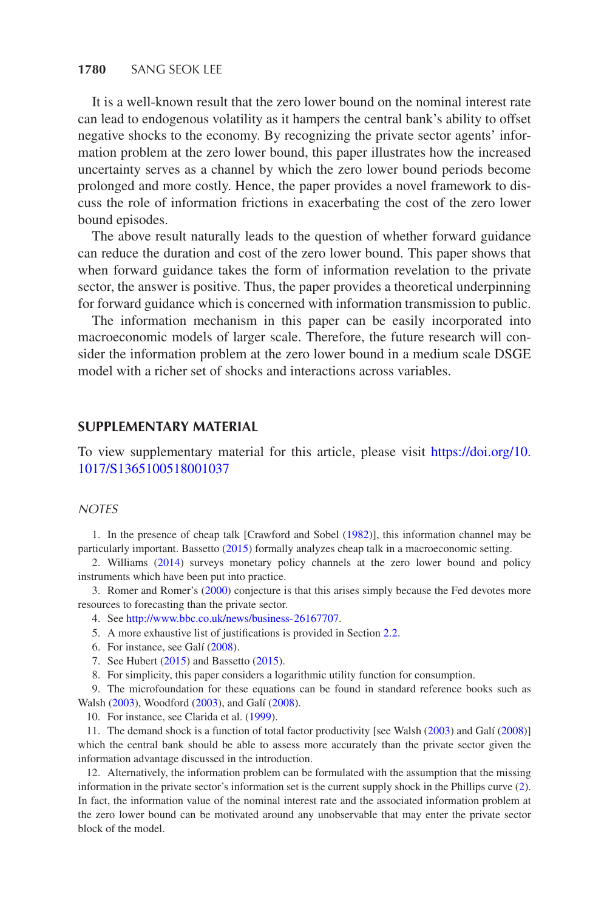#### **1780** SANG SEOK LEE

It is a well-known result that the zero lower bound on the nominal interest rate can lead to endogenous volatility as it hampers the central bank's ability to offset negative shocks to the economy. By recognizing the private sector agents' information problem at the zero lower bound, this paper illustrates how the increased uncertainty serves as a channel by which the zero lower bound periods become prolonged and more costly. Hence, the paper provides a novel framework to discuss the role of information frictions in exacerbating the cost of the zero lower bound episodes.

The above result naturally leads to the question of whether forward guidance can reduce the duration and cost of the zero lower bound. This paper shows that when forward guidance takes the form of information revelation to the private sector, the answer is positive. Thus, the paper provides a theoretical underpinning for forward guidance which is concerned with information transmission to public.

The information mechanism in this paper can be easily incorporated into macroeconomic models of larger scale. Therefore, the future research will consider the information problem at the zero lower bound in a medium scale DSGE model with a richer set of shocks and interactions across variables.

## <span id="page-22-12"></span>**SUPPLEMENTARY MATERIAL**

To view supplementary material for this article, please visit [https://doi.org/10.](https://doi.org/10.1017/S1365100518001037) [1017/S1365100518001037](https://doi.org/10.1017/S1365100518001037)

## *NOTES*

<span id="page-22-0"></span>1. In the presence of cheap talk [Crawford and Sobel [\(1982\)](#page-25-16)], this information channel may be particularly important. Bassetto [\(2015\)](#page-24-20) formally analyzes cheap talk in a macroeconomic setting.

<span id="page-22-1"></span>2. Williams [\(2014](#page-26-6)) surveys monetary policy channels at the zero lower bound and policy instruments which have been put into practice.

<span id="page-22-2"></span>3. Romer and Romer's [\(2000\)](#page-25-0) conjecture is that this arises simply because the Fed devotes more resources to forecasting than the private sector.

- <span id="page-22-3"></span>4. See [http://www.bbc.co.uk/news/business-26167707.](http://www.bbc.co.uk/news/business-26167707)
- <span id="page-22-4"></span>5. A more exhaustive list of justifications is provided in Section [2.2.](#page-4-0)
- <span id="page-22-5"></span>6. For instance, see Galí [\(2008\)](#page-25-13).
- <span id="page-22-6"></span>7. See Hubert [\(2015\)](#page-25-4) and Bassetto [\(2015](#page-24-20)).
- <span id="page-22-7"></span>8. For simplicity, this paper considers a logarithmic utility function for consumption.

<span id="page-22-8"></span>9. The microfoundation for these equations can be found in standard reference books such as Walsh [\(2003\)](#page-26-7), Woodford [\(2003](#page-26-8)), and Galí [\(2008\)](#page-25-13).

<span id="page-22-9"></span>10. For instance, see Clarida et al. [\(1999](#page-25-17)).

<span id="page-22-10"></span>11. The demand shock is a function of total factor productivity [see Walsh [\(2003](#page-26-7)) and Galí [\(2008\)](#page-25-13)] which the central bank should be able to assess more accurately than the private sector given the information advantage discussed in the introduction.

<span id="page-22-11"></span>12. Alternatively, the information problem can be formulated with the assumption that the missing information in the private sector's information set is the current supply shock in the Phillips curve [\(2\)](#page-3-2). In fact, the information value of the nominal interest rate and the associated information problem at the zero lower bound can be motivated around any unobservable that may enter the private sector block of the model.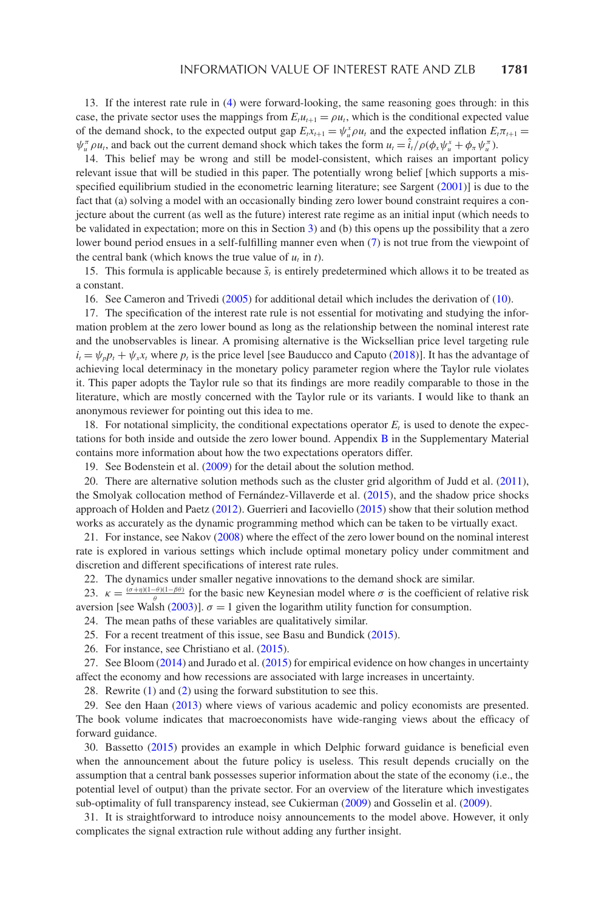<span id="page-23-0"></span>13. If the interest rate rule in [\(4\)](#page-3-3) were forward-looking, the same reasoning goes through: in this case, the private sector uses the mappings from  $E_t u_{t+1} = \rho u_t$ , which is the conditional expected value of the demand shock, to the expected output gap  $E_t x_{t+1} = \psi_u^x \rho u_t$  and the expected inflation  $E_t \pi_{t+1} =$  $\psi_u^{\pi} \rho u_t$ , and back out the current demand shock which takes the form  $u_t = \hat{i}_t / \rho (\phi_x \psi_u^x + \phi_\pi \psi_u^{\pi})$ .

<span id="page-23-1"></span>14. This belief may be wrong and still be model-consistent, which raises an important policy relevant issue that will be studied in this paper. The potentially wrong belief [which supports a mis-specified equilibrium studied in the econometric learning literature; see Sargent [\(2001\)](#page-26-9)] is due to the fact that (a) solving a model with an occasionally binding zero lower bound constraint requires a conjecture about the current (as well as the future) interest rate regime as an initial input (which needs to be validated in expectation; more on this in Section [3\)](#page-8-0) and (b) this opens up the possibility that a zero lower bound period ensues in a self-fulfilling manner even when  $(7)$  is not true from the viewpoint of the central bank (which knows the true value of  $u_t$  in  $t$ ).

<span id="page-23-2"></span>15. This formula is applicable because  $\tilde{s}$ <sub>*t*</sub> is entirely predetermined which allows it to be treated as a constant.

<span id="page-23-3"></span>16. See Cameron and Trivedi [\(2005\)](#page-24-21) for additional detail which includes the derivation of [\(10\)](#page-7-0).

<span id="page-23-4"></span>17. The specification of the interest rate rule is not essential for motivating and studying the information problem at the zero lower bound as long as the relationship between the nominal interest rate and the unobservables is linear. A promising alternative is the Wicksellian price level targeting rule  $i_t = \psi_p p_t + \psi_x x_t$  where  $p_t$  is the price level [see Bauducco and Caputo [\(2018\)](#page-24-22)]. It has the advantage of achieving local determinacy in the monetary policy parameter region where the Taylor rule violates it. This paper adopts the Taylor rule so that its findings are more readily comparable to those in the literature, which are mostly concerned with the Taylor rule or its variants. I would like to thank an anonymous reviewer for pointing out this idea to me.

<span id="page-23-5"></span>18. For notational simplicity, the conditional expectations operator  $E_t$  is used to denote the expectations for both inside and outside the zero lower bound. Appendix [B](#page-22-12) in the Supplementary Material contains more information about how the two expectations operators differ.

<span id="page-23-6"></span>19. See Bodenstein et al. [\(2009](#page-24-9)) for the detail about the solution method.

<span id="page-23-7"></span>20. There are alternative solution methods such as the cluster grid algorithm of Judd et al. [\(2011\)](#page-25-18), the Smolyak collocation method of Fernández-Villaverde et al. [\(2015](#page-25-10)), and the shadow price shocks approach of Holden and Paetz [\(2012](#page-25-19)). Guerrieri and Iacoviello [\(2015](#page-25-12)) show that their solution method works as accurately as the dynamic programming method which can be taken to be virtually exact.

<span id="page-23-8"></span>21. For instance, see Nakov [\(2008\)](#page-25-7) where the effect of the zero lower bound on the nominal interest rate is explored in various settings which include optimal monetary policy under commitment and discretion and different specifications of interest rate rules.

<span id="page-23-9"></span>22. The dynamics under smaller negative innovations to the demand shock are similar.

<span id="page-23-10"></span>23.  $\kappa = \frac{(\sigma + \eta)(1-\theta)(1-\beta\theta)}{\theta}$  for the basic new Keynesian model where  $\sigma$  is the coefficient of relative risk aversion [see Walsh [\(2003\)](#page-26-7)].  $\sigma = 1$  given the logarithm utility function for consumption.

<span id="page-23-11"></span>24. The mean paths of these variables are qualitatively similar.

<span id="page-23-12"></span>25. For a recent treatment of this issue, see Basu and Bundick [\(2015](#page-24-11)).

<span id="page-23-13"></span>26. For instance, see Christiano et al. [\(2015](#page-24-23)).

<span id="page-23-14"></span>27. See Bloom [\(2014\)](#page-24-24) and Jurado et al. [\(2015\)](#page-25-20) for empirical evidence on how changes in uncertainty affect the economy and how recessions are associated with large increases in uncertainty.

<span id="page-23-15"></span>28. Rewrite [\(1\)](#page-3-1) and [\(2\)](#page-3-2) using the forward substitution to see this.

<span id="page-23-16"></span>29. See den Haan [\(2013](#page-25-21)) where views of various academic and policy economists are presented. The book volume indicates that macroeconomists have wide-ranging views about the efficacy of forward guidance.

<span id="page-23-17"></span>30. Bassetto [\(2015\)](#page-24-20) provides an example in which Delphic forward guidance is beneficial even when the announcement about the future policy is useless. This result depends crucially on the assumption that a central bank possesses superior information about the state of the economy (i.e., the potential level of output) than the private sector. For an overview of the literature which investigates sub-optimality of full transparency instead, see Cukierman [\(2009\)](#page-25-22) and Gosselin et al. [\(2009\)](#page-25-23).

<span id="page-23-18"></span>31. It is straightforward to introduce noisy announcements to the model above. However, it only complicates the signal extraction rule without adding any further insight.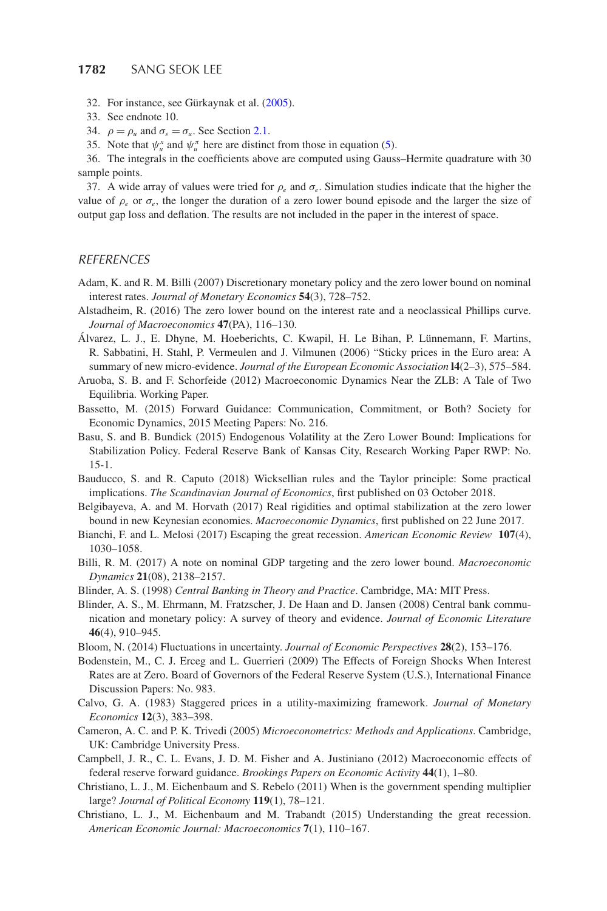#### **1782** SANG SEOK LEE

- <span id="page-24-14"></span>32. For instance, see Gürkaynak et al. [\(2005](#page-25-3)).
- <span id="page-24-15"></span>33. See endnote 10.
- <span id="page-24-16"></span>34.  $\rho = \rho_u$  and  $\sigma_s = \sigma_u$ . See Section [2.1.](#page-3-5)

<span id="page-24-17"></span>35. Note that  $\psi_u^x$  and  $\psi_u^{\pi}$  here are distinct from those in equation [\(5\)](#page-5-0).

<span id="page-24-18"></span>36. The integrals in the coefficients above are computed using Gauss–Hermite quadrature with 30 sample points.

<span id="page-24-19"></span>37. A wide array of values were tried for  $\rho_e$  and  $\sigma_e$ . Simulation studies indicate that the higher the value of  $\rho_e$  or  $\sigma_e$ , the longer the duration of a zero lower bound episode and the larger the size of output gap loss and deflation. The results are not included in the paper in the interest of space.

*REFERENCES*

- <span id="page-24-3"></span>Adam, K. and R. M. Billi (2007) Discretionary monetary policy and the zero lower bound on nominal interest rates. *Journal of Monetary Economics* **54**(3), 728–752.
- <span id="page-24-4"></span>Alstadheim, R. (2016) The zero lower bound on the interest rate and a neoclassical Phillips curve. *Journal of Macroeconomics* **47**(PA), 116–130.
- <span id="page-24-13"></span>Álvarez, L. J., E. Dhyne, M. Hoeberichts, C. Kwapil, H. Le Bihan, P. Lünnemann, F. Martins, R. Sabbatini, H. Stahl, P. Vermeulen and J. Vilmunen (2006) "Sticky prices in the Euro area: A summary of new micro-evidence. *Journal of the European Economic Association* **l4**(2–3), 575–584.
- <span id="page-24-8"></span>Aruoba, S. B. and F. Schorfeide (2012) Macroeconomic Dynamics Near the ZLB: A Tale of Two Equilibria. Working Paper.
- <span id="page-24-20"></span>Bassetto, M. (2015) Forward Guidance: Communication, Commitment, or Both? Society for Economic Dynamics, 2015 Meeting Papers: No. 216.
- <span id="page-24-11"></span>Basu, S. and B. Bundick (2015) Endogenous Volatility at the Zero Lower Bound: Implications for Stabilization Policy. Federal Reserve Bank of Kansas City, Research Working Paper RWP: No. 15-1.
- <span id="page-24-22"></span>Bauducco, S. and R. Caputo (2018) Wicksellian rules and the Taylor principle: Some practical implications. *The Scandinavian Journal of Economics*, first published on 03 October 2018.
- <span id="page-24-6"></span>Belgibayeva, A. and M. Horvath (2017) Real rigidities and optimal stabilization at the zero lower bound in new Keynesian economies. *Macroeconomic Dynamics*, first published on 22 June 2017.
- <span id="page-24-10"></span>Bianchi, F. and L. Melosi (2017) Escaping the great recession. *American Economic Review* **107**(4), 1030–1058.
- <span id="page-24-5"></span>Billi, R. M. (2017) A note on nominal GDP targeting and the zero lower bound. *Macroeconomic Dynamics* **21**(08), 2138–2157.
- <span id="page-24-1"></span>Blinder, A. S. (1998) *Central Banking in Theory and Practice*. Cambridge, MA: MIT Press.
- <span id="page-24-2"></span>Blinder, A. S., M. Ehrmann, M. Fratzscher, J. De Haan and D. Jansen (2008) Central bank communication and monetary policy: A survey of theory and evidence. *Journal of Economic Literature* **46**(4), 910–945.
- <span id="page-24-24"></span>Bloom, N. (2014) Fluctuations in uncertainty. *Journal of Economic Perspectives* **28**(2), 153–176.
- <span id="page-24-9"></span>Bodenstein, M., C. J. Erceg and L. Guerrieri (2009) The Effects of Foreign Shocks When Interest Rates are at Zero. Board of Governors of the Federal Reserve System (U.S.), International Finance Discussion Papers: No. 983.
- <span id="page-24-12"></span>Calvo, G. A. (1983) Staggered prices in a utility-maximizing framework. *Journal of Monetary Economics* **12**(3), 383–398.
- <span id="page-24-21"></span>Cameron, A. C. and P. K. Trivedi (2005) *Microeconometrics: Methods and Applications*. Cambridge, UK: Cambridge University Press.
- <span id="page-24-0"></span>Campbell, J. R., C. L. Evans, J. D. M. Fisher and A. Justiniano (2012) Macroeconomic effects of federal reserve forward guidance. *Brookings Papers on Economic Activity* **44**(1), 1–80.
- <span id="page-24-7"></span>Christiano, L. J., M. Eichenbaum and S. Rebelo (2011) When is the government spending multiplier large? *Journal of Political Economy* **119**(1), 78–121.
- <span id="page-24-23"></span>Christiano, L. J., M. Eichenbaum and M. Trabandt (2015) Understanding the great recession. *American Economic Journal: Macroeconomics* **7**(1), 110–167.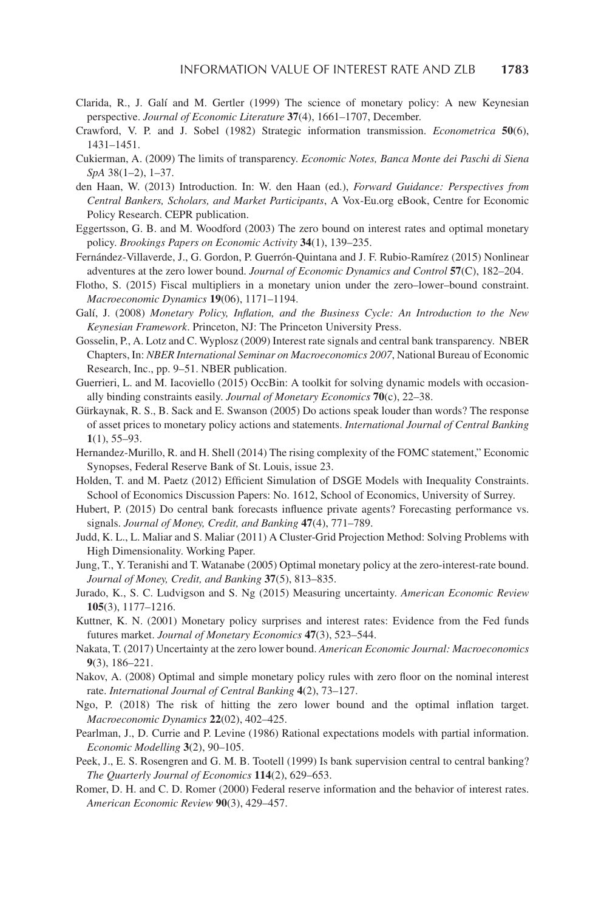- <span id="page-25-17"></span>Clarida, R., J. Galí and M. Gertler (1999) The science of monetary policy: A new Keynesian perspective. *Journal of Economic Literature* **37**(4), 1661–1707, December.
- <span id="page-25-16"></span>Crawford, V. P. and J. Sobel (1982) Strategic information transmission. *Econometrica* **50**(6), 1431–1451.
- <span id="page-25-22"></span>Cukierman, A. (2009) The limits of transparency. *Economic Notes, Banca Monte dei Paschi di Siena SpA* 38(1–2), 1–37.
- <span id="page-25-21"></span>den Haan, W. (2013) Introduction. In: W. den Haan (ed.), *Forward Guidance: Perspectives from Central Bankers, Scholars, and Market Participants*, A Vox-Eu.org eBook, Centre for Economic Policy Research. CEPR publication.
- <span id="page-25-5"></span>Eggertsson, G. B. and M. Woodford (2003) The zero bound on interest rates and optimal monetary policy. *Brookings Papers on Economic Activity* **34**(1), 139–235.
- <span id="page-25-10"></span>Fernández-Villaverde, J., G. Gordon, P. Guerrón-Quintana and J. F. Rubio-Ramírez (2015) Nonlinear adventures at the zero lower bound. *Journal of Economic Dynamics and Control* **57**(C), 182–204.
- <span id="page-25-9"></span>Flotho, S. (2015) Fiscal multipliers in a monetary union under the zero–lower–bound constraint. *Macroeconomic Dynamics* **19**(06), 1171–1194.
- <span id="page-25-13"></span>Galí, J. (2008) *Monetary Policy, Inflation, and the Business Cycle: An Introduction to the New Keynesian Framework*. Princeton, NJ: The Princeton University Press.
- <span id="page-25-23"></span>Gosselin, P., A. Lotz and C. Wyplosz (2009) Interest rate signals and central bank transparency. NBER Chapters, In: *NBER International Seminar on Macroeconomics 2007*, National Bureau of Economic Research, Inc., pp. 9–51. NBER publication.
- <span id="page-25-12"></span>Guerrieri, L. and M. Iacoviello (2015) OccBin: A toolkit for solving dynamic models with occasionally binding constraints easily. *Journal of Monetary Economics* **70**(c), 22–38.
- <span id="page-25-3"></span>Gürkaynak, R. S., B. Sack and E. Swanson (2005) Do actions speak louder than words? The response of asset prices to monetary policy actions and statements. *International Journal of Central Banking* **1**(1), 55–93.
- <span id="page-25-14"></span>Hernandez-Murillo, R. and H. Shell (2014) The rising complexity of the FOMC statement," Economic Synopses, Federal Reserve Bank of St. Louis, issue 23.
- <span id="page-25-19"></span>Holden, T. and M. Paetz (2012) Efficient Simulation of DSGE Models with Inequality Constraints. School of Economics Discussion Papers: No. 1612, School of Economics, University of Surrey.
- <span id="page-25-4"></span>Hubert, P. (2015) Do central bank forecasts influence private agents? Forecasting performance vs. signals. *Journal of Money, Credit, and Banking* **47**(4), 771–789.
- <span id="page-25-18"></span>Judd, K. L., L. Maliar and S. Maliar (2011) A Cluster-Grid Projection Method: Solving Problems with High Dimensionality. Working Paper.
- <span id="page-25-6"></span>Jung, T., Y. Teranishi and T. Watanabe (2005) Optimal monetary policy at the zero-interest-rate bound. *Journal of Money, Credit, and Banking* **37**(5), 813–835.
- <span id="page-25-20"></span>Jurado, K., S. C. Ludvigson and S. Ng (2015) Measuring uncertainty. *American Economic Review* **105**(3), 1177–1216.
- <span id="page-25-2"></span>Kuttner, K. N. (2001) Monetary policy surprises and interest rates: Evidence from the Fed funds futures market. *Journal of Monetary Economics* **47**(3), 523–544.
- <span id="page-25-11"></span>Nakata, T. (2017) Uncertainty at the zero lower bound. *American Economic Journal: Macroeconomics* **9**(3), 186–221.
- <span id="page-25-7"></span>Nakov, A. (2008) Optimal and simple monetary policy rules with zero floor on the nominal interest rate. *International Journal of Central Banking* **4**(2), 73–127.
- <span id="page-25-8"></span>Ngo, P. (2018) The risk of hitting the zero lower bound and the optimal inflation target. *Macroeconomic Dynamics* **22**(02), 402–425.
- <span id="page-25-15"></span>Pearlman, J., D. Currie and P. Levine (1986) Rational expectations models with partial information. *Economic Modelling* **3**(2), 90–105.
- <span id="page-25-1"></span>Peek, J., E. S. Rosengren and G. M. B. Tootell (1999) Is bank supervision central to central banking? *The Quarterly Journal of Economics* **114**(2), 629–653.
- <span id="page-25-0"></span>Romer, D. H. and C. D. Romer (2000) Federal reserve information and the behavior of interest rates. *American Economic Review* **90**(3), 429–457.